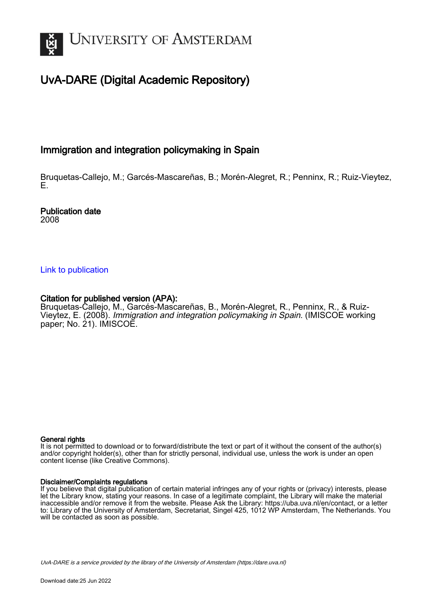

# UvA-DARE (Digital Academic Repository)

## Immigration and integration policymaking in Spain

Bruquetas-Callejo, M.; Garcés-Mascareñas, B.; Morén-Alegret, R.; Penninx, R.; Ruiz-Vieytez, E.

## Publication date

2008

## [Link to publication](https://dare.uva.nl/personal/pure/en/publications/immigration-and-integration-policymaking-in-spain(10e051b4-4ce4-4649-af7b-1f2283155c39).html)

## Citation for published version (APA):

Bruquetas-Callejo, M., Garcés-Mascareñas, B., Morén-Alegret, R., Penninx, R., & Ruiz-Vieytez, E. (2008). Immigration and integration policymaking in Spain. (IMISCOE working paper; No. 21). IMISCOE.

## General rights

It is not permitted to download or to forward/distribute the text or part of it without the consent of the author(s) and/or copyright holder(s), other than for strictly personal, individual use, unless the work is under an open content license (like Creative Commons).

### Disclaimer/Complaints regulations

If you believe that digital publication of certain material infringes any of your rights or (privacy) interests, please let the Library know, stating your reasons. In case of a legitimate complaint, the Library will make the material inaccessible and/or remove it from the website. Please Ask the Library: https://uba.uva.nl/en/contact, or a letter to: Library of the University of Amsterdam, Secretariat, Singel 425, 1012 WP Amsterdam, The Netherlands. You will be contacted as soon as possible.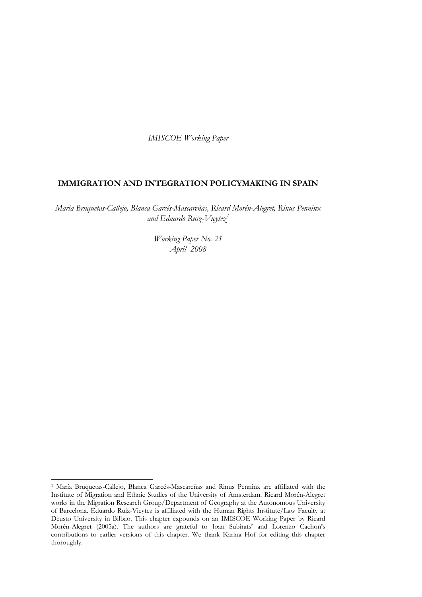*IMISCOE Working Paper* 

## **IMMIGRATION AND INTEGRATION POLICYMAKING IN SPAIN**

*María Bruquetas-Callejo, Blanca Garcés-Mascareñas, Ricard Morén-Alegret, Rinus Penninx and Eduardo Ruiz-Vieytez[1](#page-1-0)*

> *Working Paper No. 21 April 2008*

<span id="page-1-0"></span><sup>1</sup> María Bruquetas-Callejo, Blanca Garcés-Mascareñas and Rinus Penninx are affiliated with the Institute of Migration and Ethnic Studies of the University of Amsterdam. Ricard Morén-Alegret works in the Migration Research Group/Department of Geography at the Autonomous University of Barcelona. Eduardo Ruiz-Vieytez is affiliated with the Human Rights Institute/Law Faculty at Deusto University in Bilbao. This chapter expounds on an IMISCOE Working Paper by Ricard Morén-Alegret (2005a). The authors are grateful to Joan Subirats' and Lorenzo Cachon's contributions to earlier versions of this chapter. We thank Karina Hof for editing this chapter thoroughly.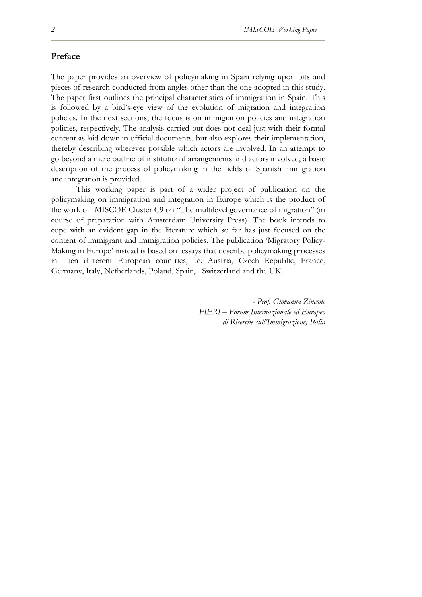## **Preface**

The paper provides an overview of policymaking in Spain relying upon bits and pieces of research conducted from angles other than the one adopted in this study. The paper first outlines the principal characteristics of immigration in Spain. This is followed by a bird's-eye view of the evolution of migration and integration policies. In the next sections, the focus is on immigration policies and integration policies, respectively. The analysis carried out does not deal just with their formal content as laid down in official documents, but also explores their implementation, thereby describing wherever possible which actors are involved. In an attempt to go beyond a mere outline of institutional arrangements and actors involved, a basic description of the process of policymaking in the fields of Spanish immigration and integration is provided.

This working paper is part of a wider project of publication on the policymaking on immigration and integration in Europe which is the product of the work of IMISCOE Cluster C9 on "The multilevel governance of migration" (in course of preparation with Amsterdam University Press). The book intends to cope with an evident gap in the literature which so far has just focused on the content of immigrant and immigration policies. The publication 'Migratory Policy-Making in Europe' instead is based on essays that describe policymaking processes in ten different European countries, i.e. Austria, Czech Republic, France, Germany, Italy, Netherlands, Poland, Spain, Switzerland and the UK.

> *- Prof. Giovanna Zincone FIERI – Forum Internazionale ed Europeo di Ricerche sull'Immigrazione, Italia*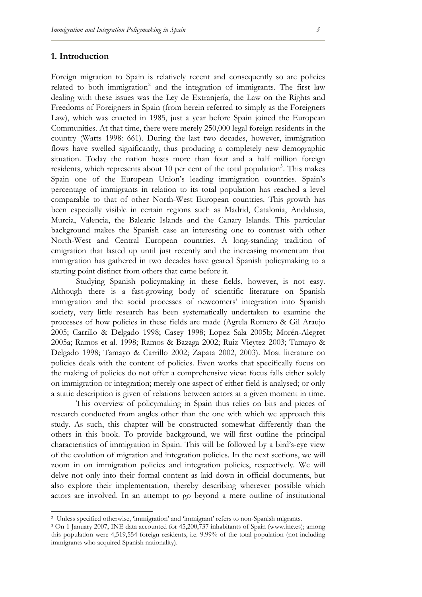### **1. Introduction**

-

Foreign migration to Spain is relatively recent and consequently so are policies related to both immigration<sup>[2](#page-3-0)</sup> and the integration of immigrants. The first law dealing with these issues was the Ley de Extranjería, the Law on the Rights and Freedoms of Foreigners in Spain (from herein referred to simply as the Foreigners Law), which was enacted in 1985, just a year before Spain joined the European Communities. At that time, there were merely 250,000 legal foreign residents in the country (Watts 1998: 661). During the last two decades, however, immigration flows have swelled significantly, thus producing a completely new demographic situation. Today the nation hosts more than four and a half million foreign residents, which represents about 10 per cent of the total population<sup>[3](#page-3-1)</sup>. This makes Spain one of the European Union's leading immigration countries. Spain's percentage of immigrants in relation to its total population has reached a level comparable to that of other North-West European countries. This growth has been especially visible in certain regions such as Madrid, Catalonia, Andalusia, Murcia, Valencia, the Balearic Islands and the Canary Islands. This particular background makes the Spanish case an interesting one to contrast with other North-West and Central European countries. A long-standing tradition of emigration that lasted up until just recently and the increasing momentum that immigration has gathered in two decades have geared Spanish policymaking to a starting point distinct from others that came before it.

 Studying Spanish policymaking in these fields, however, is not easy. Although there is a fast-growing body of scientific literature on Spanish immigration and the social processes of newcomers' integration into Spanish society, very little research has been systematically undertaken to examine the processes of how policies in these fields are made (Agrela Romero & Gil Araujo 2005; Carrillo & Delgado 1998; Casey 1998; Lopez Sala 2005b; Morén-Alegret 2005a; Ramos et al*.* 1998; Ramos & Bazaga 2002; Ruiz Vieytez 2003; Tamayo & Delgado 1998; Tamayo & Carrillo 2002; Zapata 2002, 2003). Most literature on policies deals with the content of policies. Even works that specifically focus on the making of policies do not offer a comprehensive view: focus falls either solely on immigration or integration; merely one aspect of either field is analysed; or only a static description is given of relations between actors at a given moment in time.

 This overview of policymaking in Spain thus relies on bits and pieces of research conducted from angles other than the one with which we approach this study. As such, this chapter will be constructed somewhat differently than the others in this book. To provide background, we will first outline the principal characteristics of immigration in Spain. This will be followed by a bird's-eye view of the evolution of migration and integration policies. In the next sections, we will zoom in on immigration policies and integration policies, respectively. We will delve not only into their formal content as laid down in official documents, but also explore their implementation, thereby describing wherever possible which actors are involved. In an attempt to go beyond a mere outline of institutional

<span id="page-3-1"></span><span id="page-3-0"></span><sup>&</sup>lt;sup>2</sup> Unless specified otherwise, 'immigration' and 'immigrant' refers to non-Spanish migrants.<br><sup>3</sup> On 1 January 2007, INE data accounted for 45,200,737 inhabitants of Spain (www.ine.es); among this population were 4,519,554 foreign residents, i.e. 9.99% of the total population (not including immigrants who acquired Spanish nationality).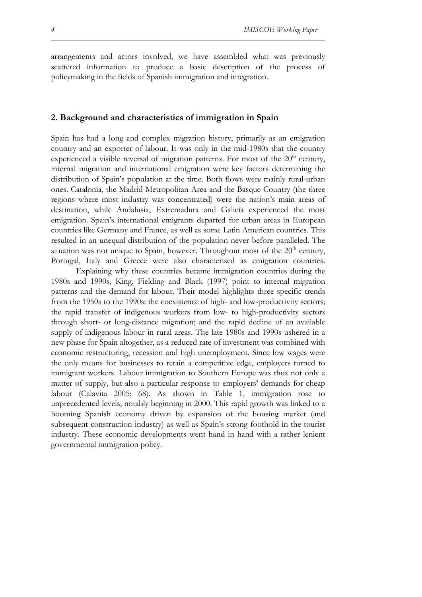arrangements and actors involved, we have assembled what was previously scattered information to produce a basic description of the process of policymaking in the fields of Spanish immigration and integration.

#### **2. Background and characteristics of immigration in Spain**

Spain has had a long and complex migration history, primarily as an emigration country and an exporter of labour. It was only in the mid-1980s that the country experienced a visible reversal of migration patterns. For most of the  $20<sup>th</sup>$  century, internal migration and international emigration were key factors determining the distribution of Spain's population at the time. Both flows were mainly rural-urban ones. Catalonia, the Madrid Metropolitan Area and the Basque Country (the three regions where most industry was concentrated) were the nation's main areas of destination, while Andalusia, Extremadura and Galicia experienced the most emigration. Spain's international emigrants departed for urban areas in European countries like Germany and France, as well as some Latin American countries. This resulted in an unequal distribution of the population never before paralleled. The situation was not unique to Spain, however. Throughout most of the  $20<sup>th</sup>$  century, Portugal, Italy and Greece were also characterised as emigration countries.

 Explaining why these countries became immigration countries during the 1980s and 1990s, King, Fielding and Black (1997) point to internal migration patterns and the demand for labour. Their model highlights three specific trends from the 1950s to the 1990s: the coexistence of high- and low-productivity sectors; the rapid transfer of indigenous workers from low- to high-productivity sectors through short- or long-distance migration; and the rapid decline of an available supply of indigenous labour in rural areas. The late 1980s and 1990s ushered in a new phase for Spain altogether, as a reduced rate of investment was combined with economic restructuring, recession and high unemployment. Since low wages were the only means for businesses to retain a competitive edge, employers turned to immigrant workers. Labour immigration to Southern Europe was thus not only a matter of supply, but also a particular response to employers' demands for cheap labour (Calavita 2005: 68). As shown in Table 1, immigration rose to unprecedented levels, notably beginning in 2000. This rapid growth was linked to a booming Spanish economy driven by expansion of the housing market (and subsequent construction industry) as well as Spain's strong foothold in the tourist industry. These economic developments went hand in hand with a rather lenient governmental immigration policy.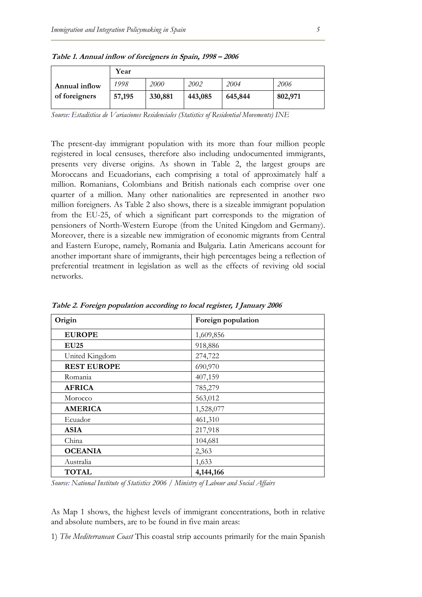|               | Year   |             |         |         |         |
|---------------|--------|-------------|---------|---------|---------|
| Annual inflow | 1998   | <i>2000</i> | 2002    | 2004    | 2006    |
| of foreigners | 57,195 | 330,881     | 443,085 | 645,844 | 802,971 |
|               |        |             |         |         |         |

**Table 1. Annual inflow of foreigners in Spain, 1998 – 2006**

*Source: Estadística de Variaciones Residenciales (Statistics of Residential Movements) INE* 

The present-day immigrant population with its more than four million people registered in local censuses, therefore also including undocumented immigrants, presents very diverse origins. As shown in Table 2, the largest groups are Moroccans and Ecuadorians, each comprising a total of approximately half a million. Romanians, Colombians and British nationals each comprise over one quarter of a million. Many other nationalities are represented in another two million foreigners. As Table 2 also shows, there is a sizeable immigrant population from the EU-25, of which a significant part corresponds to the migration of pensioners of North-Western Europe (from the United Kingdom and Germany). Moreover, there is a sizeable new immigration of economic migrants from Central and Eastern Europe, namely, Romania and Bulgaria. Latin Americans account for another important share of immigrants, their high percentages being a reflection of preferential treatment in legislation as well as the effects of reviving old social networks.

| Origin             | Foreign population |  |  |
|--------------------|--------------------|--|--|
| <b>EUROPE</b>      | 1,609,856          |  |  |
| <b>EU25</b>        | 918,886            |  |  |
| United Kingdom     | 274,722            |  |  |
| <b>REST EUROPE</b> | 690,970            |  |  |
| Romania            | 407,159            |  |  |
| <b>AFRICA</b>      | 785,279            |  |  |
| Morocco            | 563,012            |  |  |
| <b>AMERICA</b>     | 1,528,077          |  |  |
| Ecuador            | 461,310            |  |  |
| <b>ASIA</b>        | 217,918            |  |  |
| China              | 104,681            |  |  |
| <b>OCEANIA</b>     | 2,363              |  |  |
| Australia          | 1,633              |  |  |
| <b>TOTAL</b>       | 4,144,166          |  |  |

**Table 2. Foreign population according to local register, 1 January 2006** 

*Source: National Institute of Statistics 2006 / Ministry of Labour and Social Affairs* 

As Map 1 shows, the highest levels of immigrant concentrations, both in relative and absolute numbers, are to be found in five main areas:

1) *The Mediterranean Coast* This coastal strip accounts primarily for the main Spanish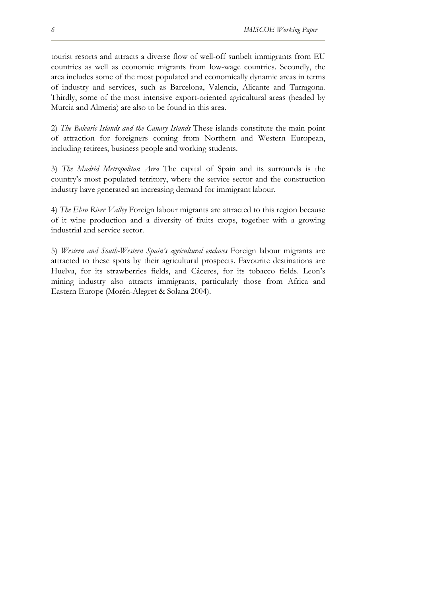tourist resorts and attracts a diverse flow of well-off sunbelt immigrants from EU countries as well as economic migrants from low-wage countries. Secondly, the area includes some of the most populated and economically dynamic areas in terms of industry and services, such as Barcelona, Valencia, Alicante and Tarragona. Thirdly, some of the most intensive export-oriented agricultural areas (headed by Murcia and Almeria) are also to be found in this area.

2) *The Balearic Islands and the Canary Islands* These islands constitute the main point of attraction for foreigners coming from Northern and Western European, including retirees, business people and working students.

3) *The Madrid Metropolitan Area* The capital of Spain and its surrounds is the country's most populated territory, where the service sector and the construction industry have generated an increasing demand for immigrant labour.

4) *The Ebro River Valley* Foreign labour migrants are attracted to this region because of it wine production and a diversity of fruits crops, together with a growing industrial and service sector.

5) *Western and South-Western Spain's agricultural enclaves* Foreign labour migrants are attracted to these spots by their agricultural prospects. Favourite destinations are Huelva, for its strawberries fields, and Cáceres, for its tobacco fields. Leon's mining industry also attracts immigrants, particularly those from Africa and Eastern Europe (Morén-Alegret & Solana 2004).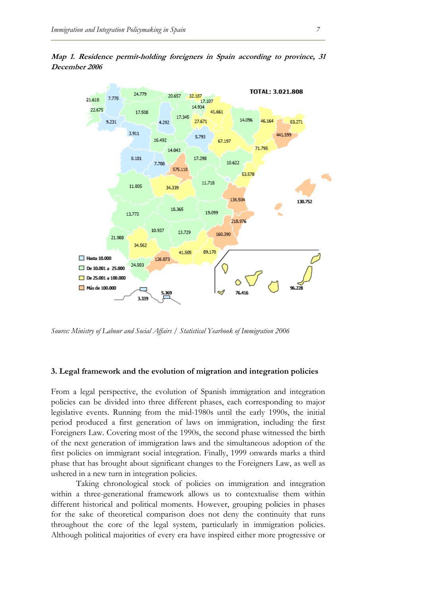

**Map 1. Residence permit-holding foreigners in Spain according to province, 31 December 2006** 

*Source: Ministry of Labour and Social Affairs / Statistical Yearbook of Immigration 2006* 

#### **3. Legal framework and the evolution of migration and integration policies**

From a legal perspective, the evolution of Spanish immigration and integration policies can be divided into three different phases, each corresponding to major legislative events. Running from the mid-1980s until the early 1990s, the initial period produced a first generation of laws on immigration, including the first Foreigners Law. Covering most of the 1990s, the second phase witnessed the birth of the next generation of immigration laws and the simultaneous adoption of the first policies on immigrant social integration. Finally, 1999 onwards marks a third phase that has brought about significant changes to the Foreigners Law, as well as ushered in a new turn in integration policies.

 Taking chronological stock of policies on immigration and integration within a three-generational framework allows us to contextualise them within different historical and political moments. However, grouping policies in phases for the sake of theoretical comparison does not deny the continuity that runs throughout the core of the legal system, particularly in immigration policies. Although political majorities of every era have inspired either more progressive or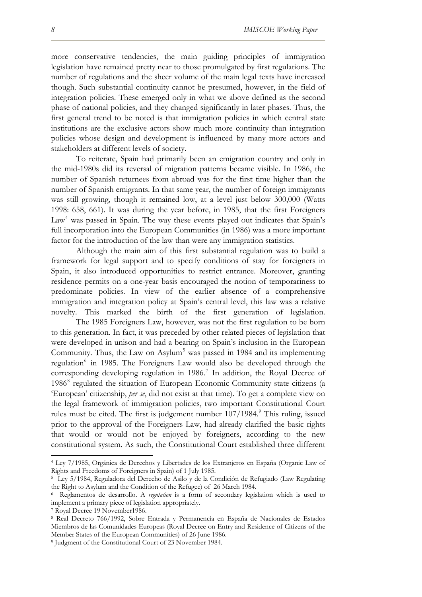more conservative tendencies, the main guiding principles of immigration legislation have remained pretty near to those promulgated by first regulations. The number of regulations and the sheer volume of the main legal texts have increased though. Such substantial continuity cannot be presumed, however, in the field of integration policies. These emerged only in what we above defined as the second phase of national policies, and they changed significantly in later phases. Thus, the first general trend to be noted is that immigration policies in which central state institutions are the exclusive actors show much more continuity than integration policies whose design and development is influenced by many more actors and stakeholders at different levels of society.

 To reiterate, Spain had primarily been an emigration country and only in the mid-1980s did its reversal of migration patterns became visible. In 1986, the number of Spanish returnees from abroad was for the first time higher than the number of Spanish emigrants. In that same year, the number of foreign immigrants was still growing, though it remained low, at a level just below 300,000 (Watts 1998: 658, 661). It was during the year before, in 1985, that the first Foreigners Law<sup>[4](#page-8-0)</sup> was passed in Spain. The way these events played out indicates that Spain's full incorporation into the European Communities (in 1986) was a more important factor for the introduction of the law than were any immigration statistics.

 Although the main aim of this first substantial regulation was to build a framework for legal support and to specify conditions of stay for foreigners in Spain, it also introduced opportunities to restrict entrance. Moreover, granting residence permits on a one-year basis encouraged the notion of temporariness to predominate policies. In view of the earlier absence of a comprehensive immigration and integration policy at Spain's central level, this law was a relative novelty. This marked the birth of the first generation of legislation.

 The 1985 Foreigners Law, however, was not the first regulation to be born to this generation. In fact, it was preceded by other related pieces of legislation that were developed in unison and had a bearing on Spain's inclusion in the European Community. Thus, the Law on Asylum<sup>[5](#page-8-1)</sup> was passed in 1984 and its implementing regulation<sup>[6](#page-8-2)</sup> in 1985. The Foreigners Law would also be developed through the corresponding developing regulation in 1986.<sup>[7](#page-8-3)</sup> In addition, the Royal Decree of 19[8](#page-8-4)6<sup>8</sup> regulated the situation of European Economic Community state citizens (a 'European' citizenship, *per se*, did not exist at that time). To get a complete view on the legal framework of immigration policies, two important Constitutional Court rules must be cited. The first is judgement number 107/1[9](#page-8-5)84.<sup>9</sup> This ruling, issued prior to the approval of the Foreigners Law, had already clarified the basic rights that would or would not be enjoyed by foreigners, according to the new constitutional system. As such, the Constitutional Court established three different

<span id="page-8-0"></span><sup>4</sup> Ley 7/1985, Orgánica de Derechos y Libertades de los Extranjeros en España (Organic Law of Rights and Freedoms of Foreigners in Spain) of 1 July 1985. 5 Ley 5/1984, Reguladora del Derecho de Asilo y de la Condición de Refugiado (Law Regulating

<span id="page-8-1"></span>the Right to Asylum and the Condition of the Refugee) of 26 March 1984.<br><sup>6</sup> Reglamentos de desarrollo. A *regulation* is a form of secondary legislation which is used to

<span id="page-8-2"></span>implement a primary piece of legislation appropriately. 7 Royal Decree 19 November1986.

<span id="page-8-3"></span>

<span id="page-8-4"></span><sup>8</sup> Real Decreto 766/1992, Sobre Entrada y Permanencia en España de Nacionales de Estados Miembros de las Comunidades Europeas (Royal Decree on Entry and Residence of Citizens of the Member States of the European Communities) of 26 June 1986.

<span id="page-8-5"></span><sup>9</sup> Judgment of the Constitutional Court of 23 November 1984.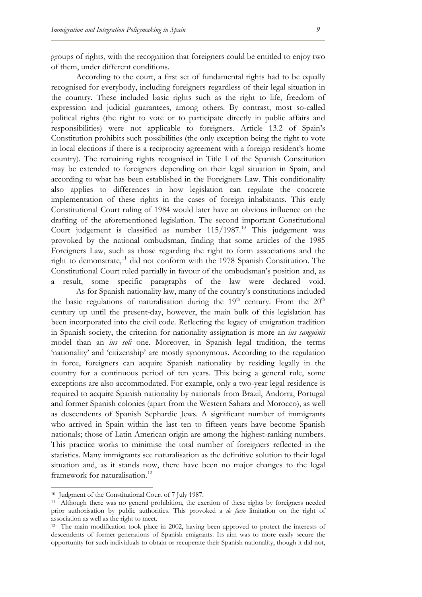groups of rights, with the recognition that foreigners could be entitled to enjoy two of them, under different conditions.

 According to the court, a first set of fundamental rights had to be equally recognised for everybody, including foreigners regardless of their legal situation in the country. These included basic rights such as the right to life, freedom of expression and judicial guarantees, among others. By contrast, most so-called political rights (the right to vote or to participate directly in public affairs and responsibilities) were not applicable to foreigners. Article 13.2 of Spain's Constitution prohibits such possibilities (the only exception being the right to vote in local elections if there is a reciprocity agreement with a foreign resident's home country). The remaining rights recognised in Title I of the Spanish Constitution may be extended to foreigners depending on their legal situation in Spain, and according to what has been established in the Foreigners Law. This conditionality also applies to differences in how legislation can regulate the concrete implementation of these rights in the cases of foreign inhabitants. This early Constitutional Court ruling of 1984 would later have an obvious influence on the drafting of the aforementioned legislation. The second important Constitutional Court judgement is classified as number  $115/1987$ .<sup>10</sup> This judgement was provoked by the national ombudsman, finding that some articles of the 1985 Foreigners Law, such as those regarding the right to form associations and the right to demonstrate, $^{11}$  $^{11}$  $^{11}$  did not conform with the 1978 Spanish Constitution. The Constitutional Court ruled partially in favour of the ombudsman's position and, as a result, some specific paragraphs of the law were declared void.

 As for Spanish nationality law, many of the country's constitutions included the basic regulations of naturalisation during the  $19<sup>th</sup>$  century. From the  $20<sup>th</sup>$ century up until the present-day, however, the main bulk of this legislation has been incorporated into the civil code. Reflecting the legacy of emigration tradition in Spanish society, the criterion for nationality assignation is more an *ius sanguinis* model than an *ius soli* one. Moreover, in Spanish legal tradition, the terms 'nationality' and 'citizenship' are mostly synonymous. According to the regulation in force, foreigners can acquire Spanish nationality by residing legally in the country for a continuous period of ten years. This being a general rule, some exceptions are also accommodated. For example, only a two-year legal residence is required to acquire Spanish nationality by nationals from Brazil, Andorra, Portugal and former Spanish colonies (apart from the Western Sahara and Morocco), as well as descendents of Spanish Sephardic Jews. A significant number of immigrants who arrived in Spain within the last ten to fifteen years have become Spanish nationals; those of Latin American origin are among the highest-ranking numbers. This practice works to minimise the total number of foreigners reflected in the statistics. Many immigrants see naturalisation as the definitive solution to their legal situation and, as it stands now, there have been no major changes to the legal framework for naturalisation.<sup>[12](#page-9-2)</sup>

<span id="page-9-1"></span><span id="page-9-0"></span><sup>&</sup>lt;sup>10</sup> Judgment of the Constitutional Court of 7 July 1987.<br><sup>11</sup> Although there was no general prohibition, the exertion of these rights by foreigners needed prior authorisation by public authorities. This provoked a *de facto* limitation on the right of association as well as the right to meet.

<span id="page-9-2"></span><sup>&</sup>lt;sup>12</sup> The main modification took place in 2002, having been approved to protect the interests of descendents of former generations of Spanish emigrants. Its aim was to more easily secure the opportunity for such individuals to obtain or recuperate their Spanish nationality, though it did not,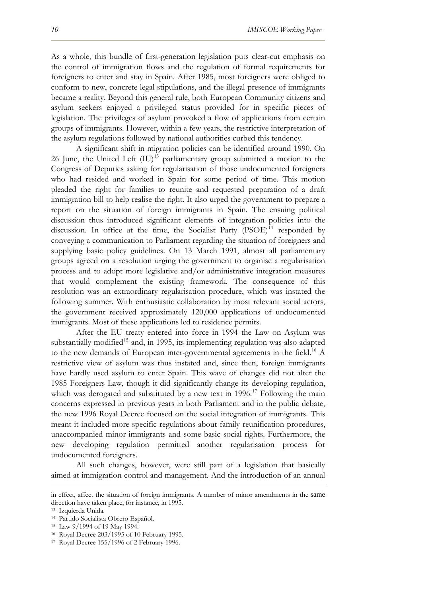As a whole, this bundle of first-generation legislation puts clear-cut emphasis on the control of immigration flows and the regulation of formal requirements for foreigners to enter and stay in Spain. After 1985, most foreigners were obliged to conform to new, concrete legal stipulations, and the illegal presence of immigrants became a reality. Beyond this general rule, both European Community citizens and asylum seekers enjoyed a privileged status provided for in specific pieces of legislation. The privileges of asylum provoked a flow of applications from certain groups of immigrants. However, within a few years, the restrictive interpretation of the asylum regulations followed by national authorities curbed this tendency.

 A significant shift in migration policies can be identified around 1990. On 26 June, the United Left  $(IU)^{13}$  $(IU)^{13}$  $(IU)^{13}$  parliamentary group submitted a motion to the Congress of Deputies asking for regularisation of those undocumented foreigners who had resided and worked in Spain for some period of time. This motion pleaded the right for families to reunite and requested preparation of a draft immigration bill to help realise the right. It also urged the government to prepare a report on the situation of foreign immigrants in Spain. The ensuing political discussion thus introduced significant elements of integration policies into the discussion. In office at the time, the Socialist Party  $(PSOE)^{14}$  $(PSOE)^{14}$  $(PSOE)^{14}$  responded by conveying a communication to Parliament regarding the situation of foreigners and supplying basic policy guidelines. On 13 March 1991, almost all parliamentary groups agreed on a resolution urging the government to organise a regularisation process and to adopt more legislative and/or administrative integration measures that would complement the existing framework. The consequence of this resolution was an extraordinary regularisation procedure, which was instated the following summer. With enthusiastic collaboration by most relevant social actors, the government received approximately 120,000 applications of undocumented immigrants. Most of these applications led to residence permits.

 After the EU treaty entered into force in 1994 the Law on Asylum was substantially modified<sup>[15](#page-10-2)</sup> and, in 1995, its implementing regulation was also adapted to the new demands of European inter-governmental agreements in the field.<sup>[16](#page-10-3)</sup> A restrictive view of asylum was thus instated and, since then, foreign immigrants have hardly used asylum to enter Spain. This wave of changes did not alter the 1985 Foreigners Law, though it did significantly change its developing regulation, which was derogated and substituted by a new text in  $1996$ .<sup>[17](#page-10-4)</sup> Following the main concerns expressed in previous years in both Parliament and in the public debate, the new 1996 Royal Decree focused on the social integration of immigrants. This meant it included more specific regulations about family reunification procedures, unaccompanied minor immigrants and some basic social rights. Furthermore, the new developing regulation permitted another regularisation process for undocumented foreigners.

 All such changes, however, were still part of a legislation that basically aimed at immigration control and management. And the introduction of an annual

in effect, affect the situation of foreign immigrants. A number of minor amendments in the same direction have taken place, for instance, in 1995. 13 Izquierda Unida.

<span id="page-10-1"></span><span id="page-10-0"></span><sup>14</sup> Partido Socialista Obrero Español.

<span id="page-10-2"></span><sup>15</sup> Law 9/1994 of 19 May 1994.

<span id="page-10-3"></span><sup>16</sup> Royal Decree 203/1995 of 10 February 1995.

<span id="page-10-4"></span><sup>17</sup> Royal Decree 155/1996 of 2 February 1996.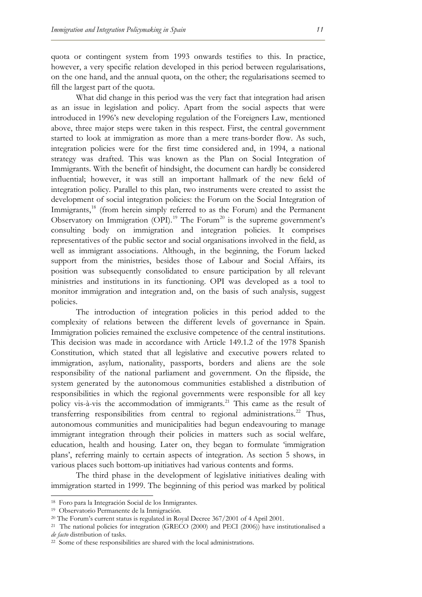quota or contingent system from 1993 onwards testifies to this. In practice, however, a very specific relation developed in this period between regularisations, on the one hand, and the annual quota, on the other; the regularisations seemed to fill the largest part of the quota.

 What did change in this period was the very fact that integration had arisen as an issue in legislation and policy. Apart from the social aspects that were introduced in 1996's new developing regulation of the Foreigners Law, mentioned above, three major steps were taken in this respect. First, the central government started to look at immigration as more than a mere trans-border flow. As such, integration policies were for the first time considered and, in 1994, a national strategy was drafted. This was known as the Plan on Social Integration of Immigrants. With the benefit of hindsight, the document can hardly be considered influential; however, it was still an important hallmark of the new field of integration policy. Parallel to this plan, two instruments were created to assist the development of social integration policies: the Forum on the Social Integration of Immigrants,<sup>[18](#page-11-0)</sup> (from herein simply referred to as the Forum) and the Permanent Observatory on Immigration (OPI).<sup>[19](#page-11-1)</sup> The Forum<sup>[20](#page-11-2)</sup> is the supreme government's consulting body on immigration and integration policies. It comprises representatives of the public sector and social organisations involved in the field, as well as immigrant associations. Although, in the beginning, the Forum lacked support from the ministries, besides those of Labour and Social Affairs, its position was subsequently consolidated to ensure participation by all relevant ministries and institutions in its functioning. OPI was developed as a tool to monitor immigration and integration and, on the basis of such analysis, suggest policies.

 The introduction of integration policies in this period added to the complexity of relations between the different levels of governance in Spain. Immigration policies remained the exclusive competence of the central institutions. This decision was made in accordance with Article 149.1.2 of the 1978 Spanish Constitution, which stated that all legislative and executive powers related to immigration, asylum, nationality, passports, borders and aliens are the sole responsibility of the national parliament and government. On the flipside, the system generated by the autonomous communities established a distribution of responsibilities in which the regional governments were responsible for all key policy vis-à-vis the accommodation of immigrants.<sup>[21](#page-11-3)</sup> This came as the result of transferring responsibilities from central to regional administrations.<sup>[22](#page-11-4)</sup> Thus, autonomous communities and municipalities had begun endeavouring to manage immigrant integration through their policies in matters such as social welfare, education, health and housing. Later on, they began to formulate 'immigration plans', referring mainly to certain aspects of integration. As section 5 shows, in various places such bottom-up initiatives had various contents and forms.

 The third phase in the development of legislative initiatives dealing with immigration started in 1999. The beginning of this period was marked by political

<span id="page-11-0"></span><sup>18</sup> Foro para la Integración Social de los Inmigrantes.

<span id="page-11-1"></span><sup>19</sup> Observatorio Permanente de la Inmigración.

<span id="page-11-2"></span><sup>20</sup> The Forum's current status is regulated in Royal Decree 367/2001 of 4 April 2001.

<span id="page-11-3"></span><sup>&</sup>lt;sup>21</sup> The national policies for integration (GRECO (2000) and PECI (2006)) have institutionalised a *de facto* distribution of tasks. 22 Some of these responsibilities are shared with the local administrations.

<span id="page-11-4"></span>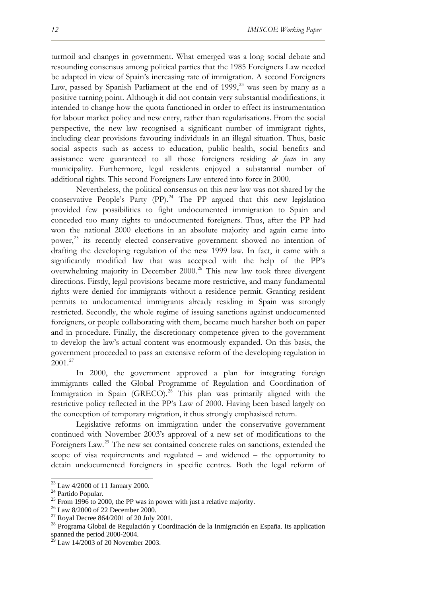turmoil and changes in government. What emerged was a long social debate and resounding consensus among political parties that the 1985 Foreigners Law needed be adapted in view of Spain's increasing rate of immigration. A second Foreigners Law, passed by Spanish Parliament at the end of  $1999,^{23}$  $1999,^{23}$  $1999,^{23}$  was seen by many as a positive turning point. Although it did not contain very substantial modifications, it intended to change how the quota functioned in order to effect its instrumentation for labour market policy and new entry, rather than regularisations. From the social perspective, the new law recognised a significant number of immigrant rights, including clear provisions favouring individuals in an illegal situation. Thus, basic social aspects such as access to education, public health, social benefits and assistance were guaranteed to all those foreigners residing *de facto* in any municipality. Furthermore, legal residents enjoyed a substantial number of additional rights. This second Foreigners Law entered into force in 2000.

 Nevertheless, the political consensus on this new law was not shared by the conservative People's Party  $(PP)$ .<sup>[24](#page-12-1)</sup> The PP argued that this new legislation provided few possibilities to fight undocumented immigration to Spain and conceded too many rights to undocumented foreigners. Thus, after the PP had won the national 2000 elections in an absolute majority and again came into power,[25](#page-12-2) its recently elected conservative government showed no intention of drafting the developing regulation of the new 1999 law. In fact, it came with a significantly modified law that was accepted with the help of the PP's overwhelming majority in December 2000.<sup>[26](#page-12-3)</sup> This new law took three divergent directions. Firstly, legal provisions became more restrictive, and many fundamental rights were denied for immigrants without a residence permit. Granting resident permits to undocumented immigrants already residing in Spain was strongly restricted. Secondly, the whole regime of issuing sanctions against undocumented foreigners, or people collaborating with them, became much harsher both on paper and in procedure. Finally, the discretionary competence given to the government to develop the law's actual content was enormously expanded. On this basis, the government proceeded to pass an extensive reform of the developing regulation in  $2001^{27}$  $2001^{27}$  $2001^{27}$ 

 In 2000, the government approved a plan for integrating foreign immigrants called the Global Programme of Regulation and Coordination of Immigration in Spain (GRECO).<sup>[28](#page-12-5)</sup> This plan was primarily aligned with the restrictive policy reflected in the PP's Law of 2000. Having been based largely on the conception of temporary migration, it thus strongly emphasised return.

 Legislative reforms on immigration under the conservative government continued with November 2003's approval of a new set of modifications to the Foreigners Law.<sup>[29](#page-12-6)</sup> The new set contained concrete rules on sanctions, extended the scope of visa requirements and regulated – and widened – the opportunity to detain undocumented foreigners in specific centres. Both the legal reform of

<sup>&</sup>lt;sup>23</sup> Law 4/2000 of 11 January 2000.

<span id="page-12-1"></span><span id="page-12-0"></span><sup>&</sup>lt;sup>24</sup> Partido Popular.

<span id="page-12-2"></span><sup>&</sup>lt;sup>25</sup> From 1996 to 2000, the PP was in power with just a relative majority.

<span id="page-12-3"></span><sup>26</sup> Law 8/2000 of 22 December 2000.

<span id="page-12-4"></span><sup>27</sup> Royal Decree 864/2001 of 20 July 2001.

<span id="page-12-5"></span><sup>&</sup>lt;sup>28</sup> Programa Global de Regulación y Coordinación de la Inmigración en España. Its application spanned the period 2000-2004.

<span id="page-12-6"></span><sup>&</sup>lt;sup>2</sup> Law 14/2003 of 20 November 2003.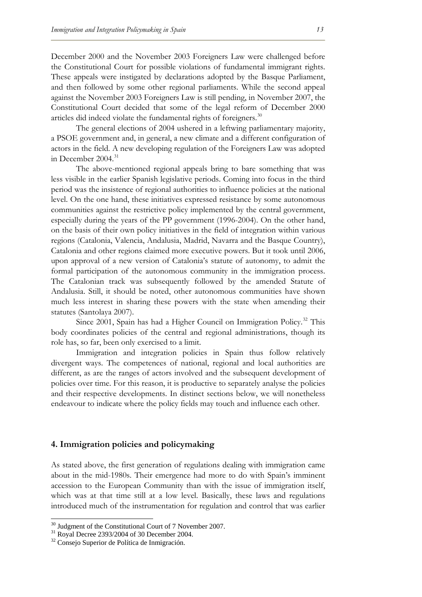December 2000 and the November 2003 Foreigners Law were challenged before the Constitutional Court for possible violations of fundamental immigrant rights. These appeals were instigated by declarations adopted by the Basque Parliament, and then followed by some other regional parliaments. While the second appeal against the November 2003 Foreigners Law is still pending, in November 2007, the Constitutional Court decided that some of the legal reform of December 2000 articles did indeed violate the fundamental rights of foreigners.<sup>[30](#page-13-0)</sup>

 The general elections of 2004 ushered in a leftwing parliamentary majority, a PSOE government and, in general, a new climate and a different configuration of actors in the field. A new developing regulation of the Foreigners Law was adopted in December 2004.<sup>[31](#page-13-1)</sup>

 The above-mentioned regional appeals bring to bare something that was less visible in the earlier Spanish legislative periods. Coming into focus in the third period was the insistence of regional authorities to influence policies at the national level. On the one hand, these initiatives expressed resistance by some autonomous communities against the restrictive policy implemented by the central government, especially during the years of the PP government (1996-2004). On the other hand, on the basis of their own policy initiatives in the field of integration within various regions (Catalonia, Valencia, Andalusia, Madrid, Navarra and the Basque Country), Catalonia and other regions claimed more executive powers. But it took until 2006, upon approval of a new version of Catalonia's statute of autonomy, to admit the formal participation of the autonomous community in the immigration process. The Catalonian track was subsequently followed by the amended Statute of Andalusia. Still, it should be noted, other autonomous communities have shown much less interest in sharing these powers with the state when amending their statutes (Santolaya 2007).

Since 2001, Spain has had a Higher Council on Immigration Policy.<sup>[32](#page-13-2)</sup> This body coordinates policies of the central and regional administrations, though its role has, so far, been only exercised to a limit.

 Immigration and integration policies in Spain thus follow relatively divergent ways. The competences of national, regional and local authorities are different, as are the ranges of actors involved and the subsequent development of policies over time. For this reason, it is productive to separately analyse the policies and their respective developments. In distinct sections below, we will nonetheless endeavour to indicate where the policy fields may touch and influence each other.

#### **4. Immigration policies and policymaking**

As stated above, the first generation of regulations dealing with immigration came about in the mid-1980s. Their emergence had more to do with Spain's imminent accession to the European Community than with the issue of immigration itself, which was at that time still at a low level. Basically, these laws and regulations introduced much of the instrumentation for regulation and control that was earlier

<sup>&</sup>lt;sup>30</sup> Judgment of the Constitutional Court of 7 November 2007.

<span id="page-13-1"></span><span id="page-13-0"></span> $31 \text{ Royal Decre } 2393/2004$  of 30 December 2004.<br> $32 \text{ Conseio Superior de Política de Immigración.}$ 

<span id="page-13-2"></span>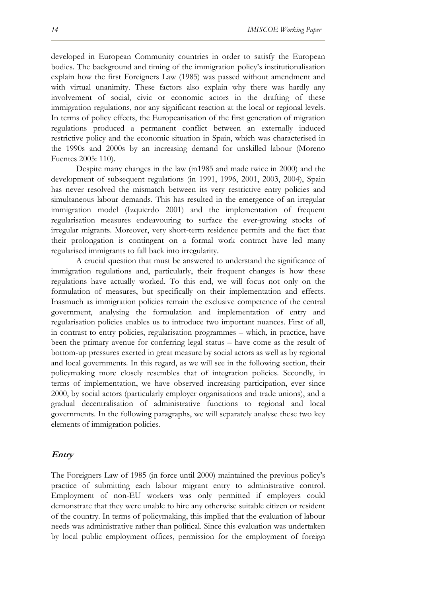developed in European Community countries in order to satisfy the European bodies. The background and timing of the immigration policy's institutionalisation explain how the first Foreigners Law (1985) was passed without amendment and with virtual unanimity. These factors also explain why there was hardly any involvement of social, civic or economic actors in the drafting of these immigration regulations, nor any significant reaction at the local or regional levels. In terms of policy effects, the Europeanisation of the first generation of migration regulations produced a permanent conflict between an externally induced restrictive policy and the economic situation in Spain, which was characterised in the 1990s and 2000s by an increasing demand for unskilled labour (Moreno Fuentes 2005: 110).

 Despite many changes in the law (in1985 and made twice in 2000) and the development of subsequent regulations (in 1991, 1996, 2001, 2003, 2004), Spain has never resolved the mismatch between its very restrictive entry policies and simultaneous labour demands. This has resulted in the emergence of an irregular immigration model (Izquierdo 2001) and the implementation of frequent regularisation measures endeavouring to surface the ever-growing stocks of irregular migrants. Moreover, very short-term residence permits and the fact that their prolongation is contingent on a formal work contract have led many regularised immigrants to fall back into irregularity.

 A crucial question that must be answered to understand the significance of immigration regulations and, particularly, their frequent changes is how these regulations have actually worked. To this end, we will focus not only on the formulation of measures, but specifically on their implementation and effects. Inasmuch as immigration policies remain the exclusive competence of the central government, analysing the formulation and implementation of entry and regularisation policies enables us to introduce two important nuances. First of all, in contrast to entry policies, regularisation programmes – which, in practice, have been the primary avenue for conferring legal status – have come as the result of bottom-up pressures exerted in great measure by social actors as well as by regional and local governments. In this regard, as we will see in the following section, their policymaking more closely resembles that of integration policies. Secondly, in terms of implementation, we have observed increasing participation, ever since 2000, by social actors (particularly employer organisations and trade unions), and a gradual decentralisation of administrative functions to regional and local governments. In the following paragraphs, we will separately analyse these two key elements of immigration policies.

## **Entry**

The Foreigners Law of 1985 (in force until 2000) maintained the previous policy's practice of submitting each labour migrant entry to administrative control. Employment of non-EU workers was only permitted if employers could demonstrate that they were unable to hire any otherwise suitable citizen or resident of the country. In terms of policymaking, this implied that the evaluation of labour needs was administrative rather than political. Since this evaluation was undertaken by local public employment offices, permission for the employment of foreign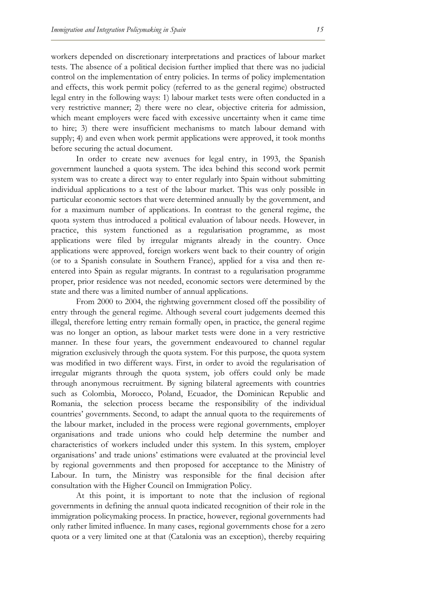workers depended on discretionary interpretations and practices of labour market tests. The absence of a political decision further implied that there was no judicial control on the implementation of entry policies. In terms of policy implementation and effects, this work permit policy (referred to as the general regime) obstructed legal entry in the following ways: 1) labour market tests were often conducted in a very restrictive manner; 2) there were no clear, objective criteria for admission, which meant employers were faced with excessive uncertainty when it came time to hire; 3) there were insufficient mechanisms to match labour demand with supply; 4) and even when work permit applications were approved, it took months before securing the actual document.

 In order to create new avenues for legal entry, in 1993, the Spanish government launched a quota system. The idea behind this second work permit system was to create a direct way to enter regularly into Spain without submitting individual applications to a test of the labour market. This was only possible in particular economic sectors that were determined annually by the government, and for a maximum number of applications. In contrast to the general regime, the quota system thus introduced a political evaluation of labour needs. However, in practice, this system functioned as a regularisation programme, as most applications were filed by irregular migrants already in the country. Once applications were approved, foreign workers went back to their country of origin (or to a Spanish consulate in Southern France), applied for a visa and then reentered into Spain as regular migrants. In contrast to a regularisation programme proper, prior residence was not needed, economic sectors were determined by the state and there was a limited number of annual applications.

 From 2000 to 2004, the rightwing government closed off the possibility of entry through the general regime. Although several court judgements deemed this illegal, therefore letting entry remain formally open, in practice, the general regime was no longer an option, as labour market tests were done in a very restrictive manner. In these four years, the government endeavoured to channel regular migration exclusively through the quota system. For this purpose, the quota system was modified in two different ways. First, in order to avoid the regularisation of irregular migrants through the quota system, job offers could only be made through anonymous recruitment. By signing bilateral agreements with countries such as Colombia, Morocco, Poland, Ecuador, the Dominican Republic and Romania, the selection process became the responsibility of the individual countries' governments. Second, to adapt the annual quota to the requirements of the labour market, included in the process were regional governments, employer organisations and trade unions who could help determine the number and characteristics of workers included under this system. In this system, employer organisations' and trade unions' estimations were evaluated at the provincial level by regional governments and then proposed for acceptance to the Ministry of Labour. In turn, the Ministry was responsible for the final decision after consultation with the Higher Council on Immigration Policy.

 At this point, it is important to note that the inclusion of regional governments in defining the annual quota indicated recognition of their role in the immigration policymaking process. In practice, however, regional governments had only rather limited influence. In many cases, regional governments chose for a zero quota or a very limited one at that (Catalonia was an exception), thereby requiring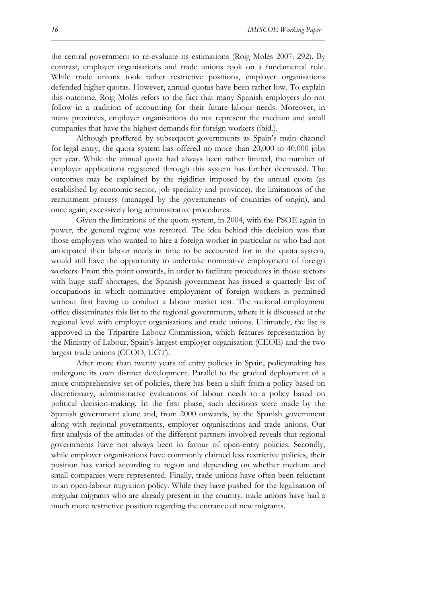the central government to re-evaluate its estimations (Roig Molés 2007: 292). By contrast, employer organisations and trade unions took on a fundamental role. While trade unions took rather restrictive positions, employer organisations defended higher quotas. However, annual quotas have been rather low. To explain this outcome, Roig Molés refers to the fact that many Spanish employers do not follow in a tradition of accounting for their future labour needs. Moreover, in many provinces, employer organisations do not represent the medium and small companies that have the highest demands for foreign workers (ibid.).

 Although proffered by subsequent governments as Spain's main channel for legal entry, the quota system has offered no more than  $20,000$  to  $40,000$  jobs per year. While the annual quota had always been rather limited, the number of employer applications registered through this system has further decreased. The outcomes may be explained by the rigidities imposed by the annual quota (as established by economic sector, job speciality and province), the limitations of the recruitment process (managed by the governments of countries of origin), and once again, excessively long administrative procedures.

 Given the limitations of the quota system, in 2004, with the PSOE again in power, the general regime was restored. The idea behind this decision was that those employers who wanted to hire a foreign worker in particular or who had not anticipated their labour needs in time to be accounted for in the quota system, would still have the opportunity to undertake nominative employment of foreign workers. From this point onwards, in order to facilitate procedures in those sectors with huge staff shortages, the Spanish government has issued a quarterly list of occupations in which nominative employment of foreign workers is permitted without first having to conduct a labour market test. The national employment office disseminates this list to the regional governments, where it is discussed at the regional level with employer organisations and trade unions. Ultimately, the list is approved in the Tripartite Labour Commission, which features representation by the Ministry of Labour, Spain's largest employer organisation (CEOE) and the two largest trade unions (CCOO, UGT).

 After more than twenty years of entry policies in Spain, policymaking has undergone its own distinct development. Parallel to the gradual deployment of a more comprehensive set of policies, there has been a shift from a policy based on discretionary, administrative evaluations of labour needs to a policy based on political decision-making. In the first phase, such decisions were made by the Spanish government alone and, from 2000 onwards, by the Spanish government along with regional governments, employer organisations and trade unions. Our first analysis of the attitudes of the different partners involved reveals that regional governments have not always been in favour of open-entry policies. Secondly, while employer organisations have commonly claimed less restrictive policies, their position has varied according to region and depending on whether medium and small companies were represented. Finally, trade unions have often been reluctant to an open-labour migration policy. While they have pushed for the legalisation of irregular migrants who are already present in the country, trade unions have had a much more restrictive position regarding the entrance of new migrants.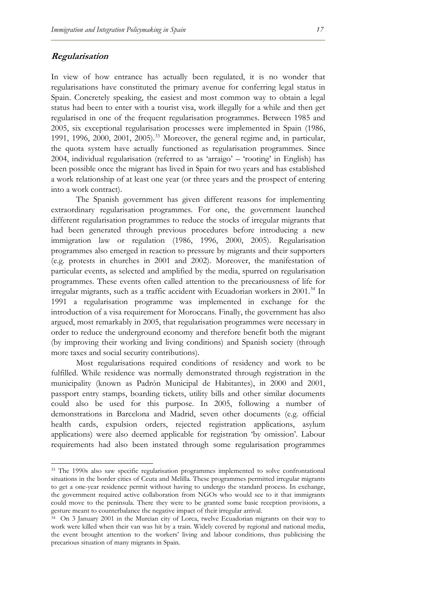### **Regularisation**

-

In view of how entrance has actually been regulated, it is no wonder that regularisations have constituted the primary avenue for conferring legal status in Spain. Concretely speaking, the easiest and most common way to obtain a legal status had been to enter with a tourist visa, work illegally for a while and then get regularised in one of the frequent regularisation programmes. Between 1985 and 2005, six exceptional regularisation processes were implemented in Spain (1986, 1991, 1996, 2000, 2001, 2005).[33](#page-17-0) Moreover, the general regime and, in particular, the quota system have actually functioned as regularisation programmes. Since 2004, individual regularisation (referred to as 'arraigo' – 'rooting' in English) has been possible once the migrant has lived in Spain for two years and has established a work relationship of at least one year (or three years and the prospect of entering into a work contract).

 The Spanish government has given different reasons for implementing extraordinary regularisation programmes. For one, the government launched different regularisation programmes to reduce the stocks of irregular migrants that had been generated through previous procedures before introducing a new immigration law or regulation (1986, 1996, 2000, 2005). Regularisation programmes also emerged in reaction to pressure by migrants and their supporters (e.g. protests in churches in 2001 and 2002). Moreover, the manifestation of particular events, as selected and amplified by the media, spurred on regularisation programmes. These events often called attention to the precariousness of life for irregular migrants, such as a traffic accident with Ecuadorian workers in 2001.<sup>[34](#page-17-1)</sup> In 1991 a regularisation programme was implemented in exchange for the introduction of a visa requirement for Moroccans. Finally, the government has also argued, most remarkably in 2005, that regularisation programmes were necessary in order to reduce the underground economy and therefore benefit both the migrant (by improving their working and living conditions) and Spanish society (through more taxes and social security contributions).

 Most regularisations required conditions of residency and work to be fulfilled. While residence was normally demonstrated through registration in the municipality (known as Padrón Municipal de Habitantes), in 2000 and 2001, passport entry stamps, boarding tickets, utility bills and other similar documents could also be used for this purpose. In 2005, following a number of demonstrations in Barcelona and Madrid, seven other documents (e.g. official health cards, expulsion orders, rejected registration applications, asylum applications) were also deemed applicable for registration 'by omission'. Labour requirements had also been instated through some regularisation programmes

<span id="page-17-0"></span><sup>&</sup>lt;sup>33</sup> The 1990s also saw specific regularisation programmes implemented to solve confrontational situations in the border cities of Ceuta and Melilla. These programmes permitted irregular migrants to get a one-year residence permit without having to undergo the standard process. In exchange, the government required active collaboration from NGOs who would see to it that immigrants could move to the peninsula. There they were to be granted some basic reception provisions, a gesture meant to counterbalance the negative impact of their irregular arrival. 34 On 3 January 2001 in the Murcian city of Lorca, twelve Ecuadorian migrants on their way to

<span id="page-17-1"></span>work were killed when their van was hit by a train. Widely covered by regional and national media, the event brought attention to the workers' living and labour conditions, thus publicising the precarious situation of many migrants in Spain.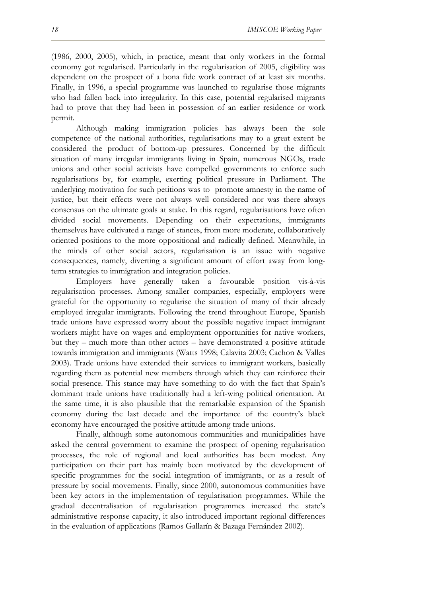(1986, 2000, 2005), which, in practice, meant that only workers in the formal economy got regularised. Particularly in the regularisation of 2005, eligibility was dependent on the prospect of a bona fide work contract of at least six months. Finally, in 1996, a special programme was launched to regularise those migrants who had fallen back into irregularity. In this case, potential regularised migrants had to prove that they had been in possession of an earlier residence or work permit.

 Although making immigration policies has always been the sole competence of the national authorities, regularisations may to a great extent be considered the product of bottom-up pressures. Concerned by the difficult situation of many irregular immigrants living in Spain, numerous NGOs, trade unions and other social activists have compelled governments to enforce such regularisations by, for example, exerting political pressure in Parliament. The underlying motivation for such petitions was to promote amnesty in the name of justice, but their effects were not always well considered nor was there always consensus on the ultimate goals at stake. In this regard, regularisations have often divided social movements. Depending on their expectations, immigrants themselves have cultivated a range of stances, from more moderate, collaboratively oriented positions to the more oppositional and radically defined. Meanwhile, in the minds of other social actors, regularisation is an issue with negative consequences, namely, diverting a significant amount of effort away from longterm strategies to immigration and integration policies.

 Employers have generally taken a favourable position vis-à-vis regularisation processes. Among smaller companies, especially, employers were grateful for the opportunity to regularise the situation of many of their already employed irregular immigrants. Following the trend throughout Europe, Spanish trade unions have expressed worry about the possible negative impact immigrant workers might have on wages and employment opportunities for native workers, but they – much more than other actors – have demonstrated a positive attitude towards immigration and immigrants (Watts 1998; Calavita 2003; Cachon & Valles 2003). Trade unions have extended their services to immigrant workers, basically regarding them as potential new members through which they can reinforce their social presence. This stance may have something to do with the fact that Spain's dominant trade unions have traditionally had a left-wing political orientation. At the same time, it is also plausible that the remarkable expansion of the Spanish economy during the last decade and the importance of the country's black economy have encouraged the positive attitude among trade unions.

 Finally, although some autonomous communities and municipalities have asked the central government to examine the prospect of opening regularisation processes, the role of regional and local authorities has been modest. Any participation on their part has mainly been motivated by the development of specific programmes for the social integration of immigrants, or as a result of pressure by social movements. Finally, since 2000, autonomous communities have been key actors in the implementation of regularisation programmes. While the gradual decentralisation of regularisation programmes increased the state's administrative response capacity, it also introduced important regional differences in the evaluation of applications (Ramos Gallarín & Bazaga Fernández 2002).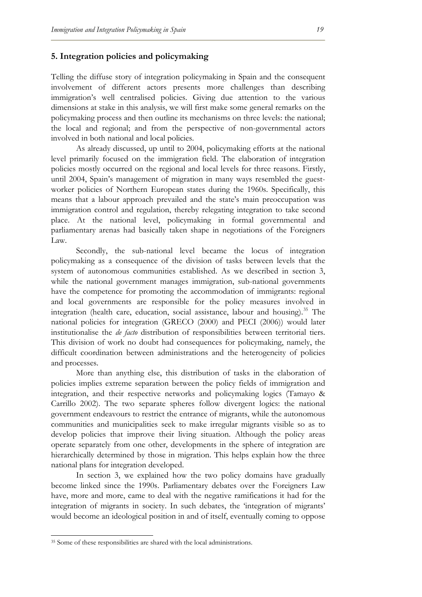#### **5. Integration policies and policymaking**

Telling the diffuse story of integration policymaking in Spain and the consequent involvement of different actors presents more challenges than describing immigration's well centralised policies. Giving due attention to the various dimensions at stake in this analysis, we will first make some general remarks on the policymaking process and then outline its mechanisms on three levels: the national; the local and regional; and from the perspective of non-governmental actors involved in both national and local policies.

 As already discussed, up until to 2004, policymaking efforts at the national level primarily focused on the immigration field. The elaboration of integration policies mostly occurred on the regional and local levels for three reasons. Firstly, until 2004, Spain's management of migration in many ways resembled the guestworker policies of Northern European states during the 1960s. Specifically, this means that a labour approach prevailed and the state's main preoccupation was immigration control and regulation, thereby relegating integration to take second place. At the national level, policymaking in formal governmental and parliamentary arenas had basically taken shape in negotiations of the Foreigners Law.

 Secondly, the sub-national level became the locus of integration policymaking as a consequence of the division of tasks between levels that the system of autonomous communities established. As we described in section 3, while the national government manages immigration, sub-national governments have the competence for promoting the accommodation of immigrants: regional and local governments are responsible for the policy measures involved in integration (health care, education, social assistance, labour and housing).<sup>[35](#page-19-0)</sup> The national policies for integration (GRECO (2000) and PECI (2006)) would later institutionalise the *de facto* distribution of responsibilities between territorial tiers. This division of work no doubt had consequences for policymaking, namely, the difficult coordination between administrations and the heterogeneity of policies and processes.

 More than anything else, this distribution of tasks in the elaboration of policies implies extreme separation between the policy fields of immigration and integration, and their respective networks and policymaking logics (Tamayo & Carrillo 2002). The two separate spheres follow divergent logics: the national government endeavours to restrict the entrance of migrants, while the autonomous communities and municipalities seek to make irregular migrants visible so as to develop policies that improve their living situation. Although the policy areas operate separately from one other, developments in the sphere of integration are hierarchically determined by those in migration. This helps explain how the three national plans for integration developed.

 In section 3, we explained how the two policy domains have gradually become linked since the 1990s. Parliamentary debates over the Foreigners Law have, more and more, came to deal with the negative ramifications it had for the integration of migrants in society. In such debates, the 'integration of migrants' would become an ideological position in and of itself, eventually coming to oppose

<span id="page-19-0"></span><sup>&</sup>lt;sup>35</sup> Some of these responsibilities are shared with the local administrations.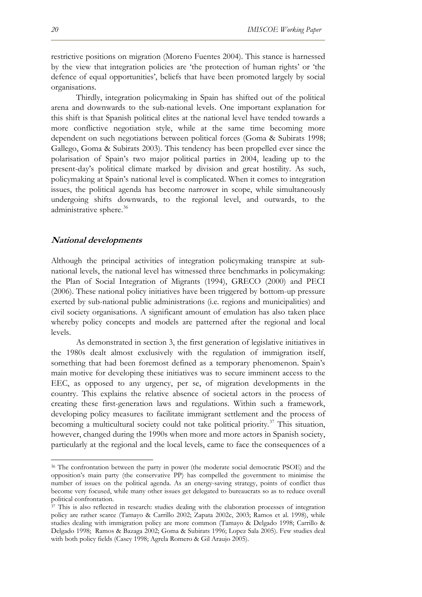restrictive positions on migration (Moreno Fuentes 2004). This stance is harnessed by the view that integration policies are 'the protection of human rights' or 'the defence of equal opportunities', beliefs that have been promoted largely by social organisations.

 Thirdly, integration policymaking in Spain has shifted out of the political arena and downwards to the sub-national levels. One important explanation for this shift is that Spanish political elites at the national level have tended towards a more conflictive negotiation style, while at the same time becoming more dependent on such negotiations between political forces (Goma & Subirats 1998; Gallego, Goma & Subirats 2003). This tendency has been propelled ever since the polarisation of Spain's two major political parties in 2004, leading up to the present-day's political climate marked by division and great hostility. As such, policymaking at Spain's national level is complicated. When it comes to integration issues, the political agenda has become narrower in scope, while simultaneously undergoing shifts downwards, to the regional level, and outwards, to the administrative sphere.<sup>[36](#page-20-0)</sup>

### **National developments**

Although the principal activities of integration policymaking transpire at subnational levels, the national level has witnessed three benchmarks in policymaking: the Plan of Social Integration of Migrants (1994), GRECO (2000) and PECI (2006). These national policy initiatives have been triggered by bottom-up pressure exerted by sub-national public administrations (i.e. regions and municipalities) and civil society organisations. A significant amount of emulation has also taken place whereby policy concepts and models are patterned after the regional and local levels.

 As demonstrated in section 3, the first generation of legislative initiatives in the 1980s dealt almost exclusively with the regulation of immigration itself, something that had been foremost defined as a temporary phenomenon. Spain's main motive for developing these initiatives was to secure imminent access to the EEC, as opposed to any urgency, per se, of migration developments in the country. This explains the relative absence of societal actors in the process of creating these first-generation laws and regulations. Within such a framework, developing policy measures to facilitate immigrant settlement and the process of becoming a multicultural society could not take political priority.<sup>[37](#page-20-1)</sup> This situation, however, changed during the 1990s when more and more actors in Spanish society, particularly at the regional and the local levels, came to face the consequences of a

<span id="page-20-0"></span><sup>&</sup>lt;sup>36</sup> The confrontation between the party in power (the moderate social democratic PSOE) and the opposition's main party (the conservative PP) has compelled the government to minimise the number of issues on the political agenda. As an energy-saving strategy, points of conflict thus become very focused, while many other issues get delegated to bureaucrats so as to reduce overall political confrontation.

<span id="page-20-1"></span> $37$  This is also reflected in research: studies dealing with the elaboration processes of integration policy are rather scarce (Tamayo & Carrillo 2002; Zapata 2002c, 2003; Ramos et al. 1998), while studies dealing with immigration policy are more common (Tamayo & Delgado 1998; Carrillo & Delgado 1998; Ramos & Bazaga 2002; Goma & Subirats 1996; Lopez Sala 2005). Few studies deal with both policy fields (Casey 1998; Agrela Romero & Gil Araujo 2005).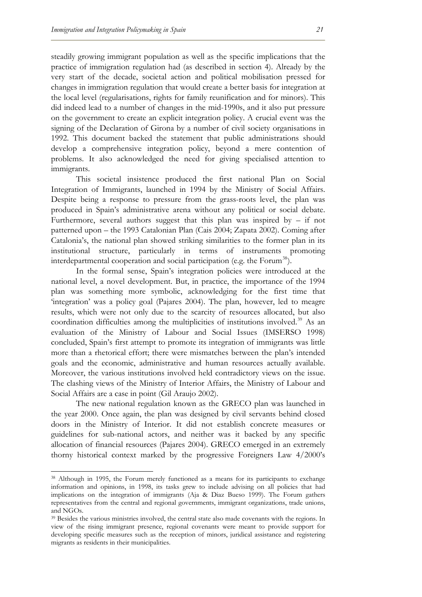steadily growing immigrant population as well as the specific implications that the practice of immigration regulation had (as described in section 4). Already by the very start of the decade, societal action and political mobilisation pressed for changes in immigration regulation that would create a better basis for integration at the local level (regularisations, rights for family reunification and for minors). This did indeed lead to a number of changes in the mid-1990s, and it also put pressure on the government to create an explicit integration policy. A crucial event was the signing of the Declaration of Girona by a number of civil society organisations in 1992. This document backed the statement that public administrations should develop a comprehensive integration policy, beyond a mere contention of problems. It also acknowledged the need for giving specialised attention to immigrants.

 This societal insistence produced the first national Plan on Social Integration of Immigrants, launched in 1994 by the Ministry of Social Affairs. Despite being a response to pressure from the grass-roots level, the plan was produced in Spain's administrative arena without any political or social debate. Furthermore, several authors suggest that this plan was inspired by  $-$  if not patterned upon – the 1993 Catalonian Plan (Cais 2004; Zapata 2002). Coming after Catalonia's, the national plan showed striking similarities to the former plan in its institutional structure, particularly in terms of instruments promoting interdepartmental cooperation and social participation (e.g. the Forum<sup>[38](#page-21-0)</sup>).

 In the formal sense, Spain's integration policies were introduced at the national level, a novel development. But, in practice, the importance of the 1994 plan was something more symbolic, acknowledging for the first time that 'integration' was a policy goal (Pajares 2004). The plan, however, led to meagre results, which were not only due to the scarcity of resources allocated, but also coordination difficulties among the multiplicities of institutions involved.<sup>[39](#page-21-1)</sup> As an evaluation of the Ministry of Labour and Social Issues (IMSERSO 1998) concluded, Spain's first attempt to promote its integration of immigrants was little more than a rhetorical effort; there were mismatches between the plan's intended goals and the economic, administrative and human resources actually available. Moreover, the various institutions involved held contradictory views on the issue. The clashing views of the Ministry of Interior Affairs, the Ministry of Labour and Social Affairs are a case in point (Gil Araujo 2002).

 The new national regulation known as the GRECO plan was launched in the year 2000. Once again, the plan was designed by civil servants behind closed doors in the Ministry of Interior. It did not establish concrete measures or guidelines for sub-national actors, and neither was it backed by any specific allocation of financial resources (Pajares 2004). GRECO emerged in an extremely thorny historical context marked by the progressive Foreigners Law 4/2000's

<span id="page-21-0"></span><sup>38</sup> Although in 1995, the Forum merely functioned as a means for its participants to exchange information and opinions, in 1998, its tasks grew to include advising on all policies that had implications on the integration of immigrants (Aja & Diaz Bueso 1999). The Forum gathers representatives from the central and regional governments, immigrant organizations, trade unions, and NGOs.

<span id="page-21-1"></span><sup>&</sup>lt;sup>39</sup> Besides the various ministries involved, the central state also made covenants with the regions. In view of the rising immigrant presence, regional covenants were meant to provide support for developing specific measures such as the reception of minors, juridical assistance and registering migrants as residents in their municipalities.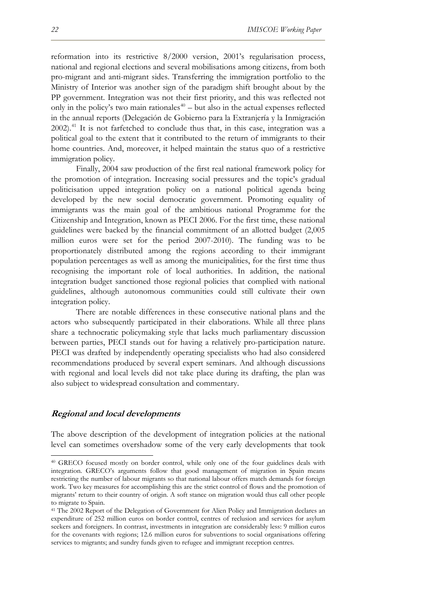reformation into its restrictive 8/2000 version, 2001's regularisation process, national and regional elections and several mobilisations among citizens, from both pro-migrant and anti-migrant sides. Transferring the immigration portfolio to the Ministry of Interior was another sign of the paradigm shift brought about by the PP government. Integration was not their first priority, and this was reflected not only in the policy's two main rationales<sup> $40$ </sup> – but also in the actual expenses reflected in the annual reports (Delegación de Gobierno para la Extranjería y la Inmigración  $2002$ ).<sup>[41](#page-22-1)</sup> It is not farfetched to conclude thus that, in this case, integration was a political goal to the extent that it contributed to the return of immigrants to their home countries. And, moreover, it helped maintain the status quo of a restrictive immigration policy.

 Finally, 2004 saw production of the first real national framework policy for the promotion of integration. Increasing social pressures and the topic's gradual politicisation upped integration policy on a national political agenda being developed by the new social democratic government. Promoting equality of immigrants was the main goal of the ambitious national Programme for the Citizenship and Integration, known as PECI 2006. For the first time, these national guidelines were backed by the financial commitment of an allotted budget (2,005 million euros were set for the period 2007-2010). The funding was to be proportionately distributed among the regions according to their immigrant population percentages as well as among the municipalities, for the first time thus recognising the important role of local authorities. In addition, the national integration budget sanctioned those regional policies that complied with national guidelines, although autonomous communities could still cultivate their own integration policy.

 There are notable differences in these consecutive national plans and the actors who subsequently participated in their elaborations. While all three plans share a technocratic policymaking style that lacks much parliamentary discussion between parties, PECI stands out for having a relatively pro-participation nature. PECI was drafted by independently operating specialists who had also considered recommendations produced by several expert seminars. And although discussions with regional and local levels did not take place during its drafting, the plan was also subject to widespread consultation and commentary.

## **Regional and local developments**

-

The above description of the development of integration policies at the national level can sometimes overshadow some of the very early developments that took

<span id="page-22-0"></span><sup>40</sup> GRECO focused mostly on border control, while only one of the four guidelines deals with integration. GRECO's arguments follow that good management of migration in Spain means restricting the number of labour migrants so that national labour offers match demands for foreign work. Two key measures for accomplishing this are the strict control of flows and the promotion of migrants' return to their country of origin. A soft stance on migration would thus call other people to migrate to Spain.

<span id="page-22-1"></span><sup>41</sup> The 2002 Report of the Delegation of Government for Alien Policy and Immigration declares an expenditure of 252 million euros on border control, centres of reclusion and services for asylum seekers and foreigners. In contrast, investments in integration are considerably less: 9 million euros for the covenants with regions; 12.6 million euros for subventions to social organisations offering services to migrants; and sundry funds given to refugee and immigrant reception centres.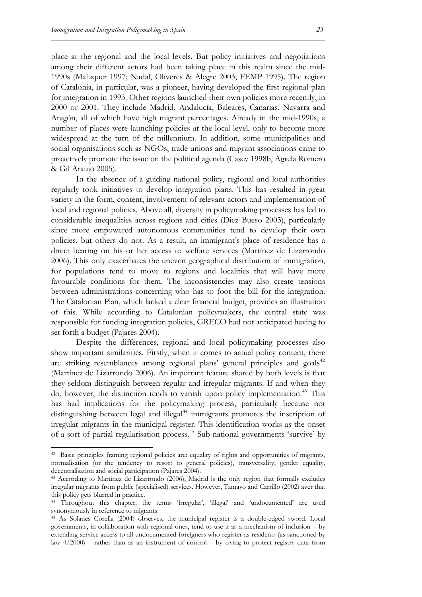place at the regional and the local levels. But policy initiatives and negotiations among their different actors had been taking place in this realm since the mid-1990s (Maluquer 1997; Nadal, Oliveres & Alegre 2003; FEMP 1995). The region of Catalonia, in particular, was a pioneer, having developed the first regional plan for integration in 1993. Other regions launched their own policies more recently, in 2000 or 2001. They include Madrid, Andalucía, Baleares, Canarias, Navarra and Aragón, all of which have high migrant percentages. Already in the mid-1990s, a number of places were launching policies at the local level, only to become more widespread at the turn of the millennium. In addition, some municipalities and social organisations such as NGOs, trade unions and migrant associations came to proactively promote the issue on the political agenda (Casey 1998b, Agrela Romero & Gil Araujo 2005).

 In the absence of a guiding national policy, regional and local authorities regularly took initiatives to develop integration plans. This has resulted in great variety in the form, content, involvement of relevant actors and implementation of local and regional policies. Above all, diversity in policymaking processes has led to considerable inequalities across regions and cities (Diez Bueso 2003), particularly since more empowered autonomous communities tend to develop their own policies, but others do not. As a result, an immigrant's place of residence has a direct bearing on his or her access to welfare services (Martínez de Lizarrondo 2006). This only exacerbates the uneven geographical distribution of immigration, for populations tend to move to regions and localities that will have more favourable conditions for them. The inconsistencies may also create tensions between administrations concerning who has to foot the bill for the integration. The Catalonian Plan, which lacked a clear financial budget, provides an illustration of this. While according to Catalonian policymakers, the central state was responsible for funding integration policies, GRECO had not anticipated having to set forth a budget (Pajares 2004).

 Despite the differences, regional and local policymaking processes also show important similarities. Firstly, when it comes to actual policy content, there are striking resemblances among regional plans' general principles and goals $42$ (Martínez de Lizarrondo 2006). An important feature shared by both levels is that they seldom distinguish between regular and irregular migrants. If and when they do, however, the distinction tends to vanish upon policy implementation.<sup>[43](#page-23-1)</sup> This has had implications for the policymaking process, particularly because not distinguishing between legal and illegal<sup>[44](#page-23-2)</sup> immigrants promotes the inscription of irregular migrants in the municipal register. This identification works as the onset of a sort of partial regularisation process.[45](#page-23-3) Sub-national governments 'survive' by

<span id="page-23-0"></span><sup>42</sup> Basic principles framing regional policies are: equality of rights and opportunities of migrants, normalisation (or the tendency to resort to general policies), transversality, gender equality, decentralisation and social participation (Pajares 2004).

<span id="page-23-1"></span><sup>43</sup> According to Martínez de Lizarrondo (2006), Madrid is the only region that formally excludes irregular migrants from public (specialised) services. However, Tamayo and Carrillo (2002) aver that this policy gets blurred in practice.

<span id="page-23-2"></span><sup>44</sup> Throughout this chapter, the terms 'irregular', 'illegal' and 'undocumented' are used synonymously in reference to migrants.

<span id="page-23-3"></span><sup>45</sup> As Solanes Corella (2004) observes, the municipal register is a double-edged sword. Local governments, in collaboration with regional ones, tend to use it as a mechanism of inclusion – by extending service access to all undocumented foreigners who register as residents (as sanctioned by law 4/2000) – rather than as an instrument of control – by trying to protect registry data from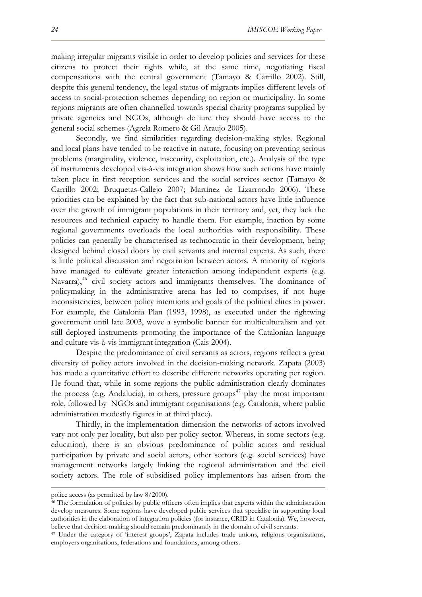making irregular migrants visible in order to develop policies and services for these citizens to protect their rights while, at the same time, negotiating fiscal compensations with the central government (Tamayo & Carrillo 2002). Still, despite this general tendency, the legal status of migrants implies different levels of access to social-protection schemes depending on region or municipality. In some regions migrants are often channelled towards special charity programs supplied by private agencies and NGOs, although de iure they should have access to the general social schemes (Agrela Romero & Gil Araujo 2005).

 Secondly, we find similarities regarding decision-making styles. Regional and local plans have tended to be reactive in nature, focusing on preventing serious problems (marginality, violence, insecurity, exploitation, etc.). Analysis of the type of instruments developed vis-à-vis integration shows how such actions have mainly taken place in first reception services and the social services sector (Tamayo & Carrillo 2002; Bruquetas-Callejo 2007; Martínez de Lizarrondo 2006). These priorities can be explained by the fact that sub-national actors have little influence over the growth of immigrant populations in their territory and, yet, they lack the resources and technical capacity to handle them. For example, inaction by some regional governments overloads the local authorities with responsibility. These policies can generally be characterised as technocratic in their development, being designed behind closed doors by civil servants and internal experts. As such, there is little political discussion and negotiation between actors. A minority of regions have managed to cultivate greater interaction among independent experts (e.g. Navarra),<sup>[46](#page-24-0)</sup> civil society actors and immigrants themselves. The dominance of policymaking in the administrative arena has led to comprises, if not huge inconsistencies, between policy intentions and goals of the political elites in power. For example, the Catalonia Plan (1993, 1998), as executed under the rightwing government until late 2003, wove a symbolic banner for multiculturalism and yet still deployed instruments promoting the importance of the Catalonian language and culture vis-à-vis immigrant integration (Cais 2004).

 Despite the predominance of civil servants as actors, regions reflect a great diversity of policy actors involved in the decision-making network. Zapata (2003) has made a quantitative effort to describe different networks operating per region. He found that, while in some regions the public administration clearly dominates the process (e.g. Andalucia), in others, pressure groups<sup> $47$ </sup> play the most important role, followed by NGOs and immigrant organisations (e.g. Catalonia, where public administration modestly figures in at third place).

 Thirdly, in the implementation dimension the networks of actors involved vary not only per locality, but also per policy sector. Whereas, in some sectors (e.g. education), there is an obvious predominance of public actors and residual participation by private and social actors, other sectors (e.g. social services) have management networks largely linking the regional administration and the civil society actors. The role of subsidised policy implementors has arisen from the

<span id="page-24-0"></span>police access (as permitted by law 8/2000).<br><sup>46</sup> The formulation of policies by public officers often implies that experts within the administration develop measures. Some regions have developed public services that specialise in supporting local authorities in the elaboration of integration policies (for instance, CRID in Catalonia). We, however, believe that decision-making should remain predominantly in the domain of civil servants.<br><sup>47</sup> Under the category of 'interest groups', Zapata includes trade unions, religious organisations,

<span id="page-24-1"></span>employers organisations, federations and foundations, among others.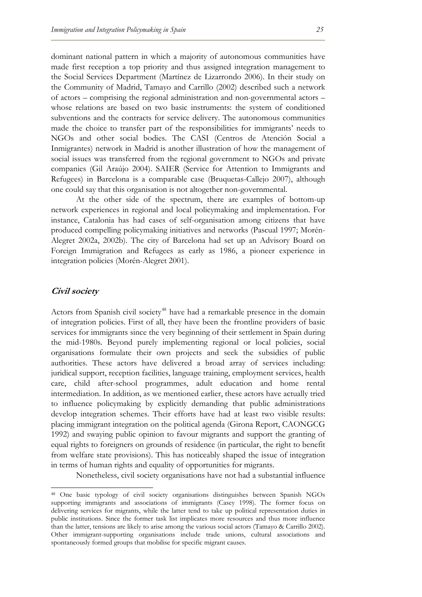dominant national pattern in which a majority of autonomous communities have made first reception a top priority and thus assigned integration management to the Social Services Department (Martínez de Lizarrondo 2006). In their study on the Community of Madrid, Tamayo and Carrillo (2002) described such a network of actors – comprising the regional administration and non-governmental actors – whose relations are based on two basic instruments: the system of conditioned subventions and the contracts for service delivery. The autonomous communities made the choice to transfer part of the responsibilities for immigrants' needs to NGOs and other social bodies. The CASI (Centros de Atención Social a Inmigrantes) network in Madrid is another illustration of how the management of social issues was transferred from the regional government to NGOs and private companies (Gil Araújo 2004). SAIER (Service for Attention to Immigrants and Refugees) in Barcelona is a comparable case (Bruquetas-Callejo 2007), although one could say that this organisation is not altogether non-governmental.

 At the other side of the spectrum, there are examples of bottom-up network experiences in regional and local policymaking and implementation. For instance, Catalonia has had cases of self-organisation among citizens that have produced compelling policymaking initiatives and networks (Pascual 1997; Morén-Alegret 2002a, 2002b). The city of Barcelona had set up an Advisory Board on Foreign Immigration and Refugees as early as 1986, a pioneer experience in integration policies (Morén-Alegret 2001).

## **Civil society**

-

Actors from Spanish civil society<sup>[48](#page-25-0)</sup> have had a remarkable presence in the domain of integration policies. First of all, they have been the frontline providers of basic services for immigrants since the very beginning of their settlement in Spain during the mid-1980s. Beyond purely implementing regional or local policies, social organisations formulate their own projects and seek the subsidies of public authorities. These actors have delivered a broad array of services including: juridical support, reception facilities, language training, employment services, health care, child after-school programmes, adult education and home rental intermediation. In addition, as we mentioned earlier, these actors have actually tried to influence policymaking by explicitly demanding that public administrations develop integration schemes. Their efforts have had at least two visible results: placing immigrant integration on the political agenda (Girona Report, CAONGCG 1992) and swaying public opinion to favour migrants and support the granting of equal rights to foreigners on grounds of residence (in particular, the right to benefit from welfare state provisions). This has noticeably shaped the issue of integration in terms of human rights and equality of opportunities for migrants.

Nonetheless, civil society organisations have not had a substantial influence

<span id="page-25-0"></span><sup>48</sup> One basic typology of civil society organisations distinguishes between Spanish NGOs supporting immigrants and associations of immigrants (Casey 1998). The former focus on delivering services for migrants, while the latter tend to take up political representation duties in public institutions. Since the former task list implicates more resources and thus more influence than the latter, tensions are likely to arise among the various social actors (Tamayo & Carrillo 2002). Other immigrant-supporting organisations include trade unions, cultural associations and spontaneously formed groups that mobilise for specific migrant causes.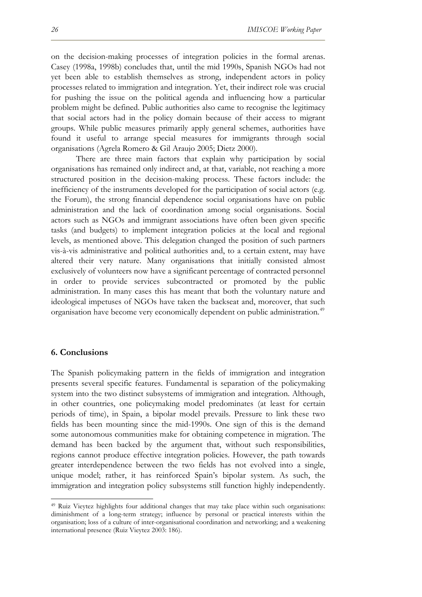on the decision-making processes of integration policies in the formal arenas. Casey (1998a, 1998b) concludes that, until the mid 1990s, Spanish NGOs had not yet been able to establish themselves as strong, independent actors in policy processes related to immigration and integration. Yet, their indirect role was crucial for pushing the issue on the political agenda and influencing how a particular problem might be defined. Public authorities also came to recognise the legitimacy that social actors had in the policy domain because of their access to migrant groups. While public measures primarily apply general schemes, authorities have found it useful to arrange special measures for immigrants through social organisations (Agrela Romero & Gil Araujo 2005; Dietz 2000).

 There are three main factors that explain why participation by social organisations has remained only indirect and, at that, variable, not reaching a more structured position in the decision-making process. These factors include: the inefficiency of the instruments developed for the participation of social actors (e.g. the Forum), the strong financial dependence social organisations have on public administration and the lack of coordination among social organisations. Social actors such as NGOs and immigrant associations have often been given specific tasks (and budgets) to implement integration policies at the local and regional levels, as mentioned above. This delegation changed the position of such partners vis-à-vis administrative and political authorities and, to a certain extent, may have altered their very nature. Many organisations that initially consisted almost exclusively of volunteers now have a significant percentage of contracted personnel in order to provide services subcontracted or promoted by the public administration. In many cases this has meant that both the voluntary nature and ideological impetuses of NGOs have taken the backseat and, moreover, that such organisation have become very economically dependent on public administration.[49](#page-26-0)

## **6. Conclusions**

 $\overline{a}$ 

The Spanish policymaking pattern in the fields of immigration and integration presents several specific features. Fundamental is separation of the policymaking system into the two distinct subsystems of immigration and integration. Although, in other countries, one policymaking model predominates (at least for certain periods of time), in Spain, a bipolar model prevails. Pressure to link these two fields has been mounting since the mid-1990s. One sign of this is the demand some autonomous communities make for obtaining competence in migration. The demand has been backed by the argument that, without such responsibilities, regions cannot produce effective integration policies. However, the path towards greater interdependence between the two fields has not evolved into a single, unique model; rather, it has reinforced Spain's bipolar system. As such, the immigration and integration policy subsystems still function highly independently.

<span id="page-26-0"></span><sup>49</sup> Ruiz Vieytez highlights four additional changes that may take place within such organisations: diminishment of a long-term strategy; influence by personal or practical interests within the organisation; loss of a culture of inter-organisational coordination and networking; and a weakening international presence (Ruiz Vieytez 2003: 186).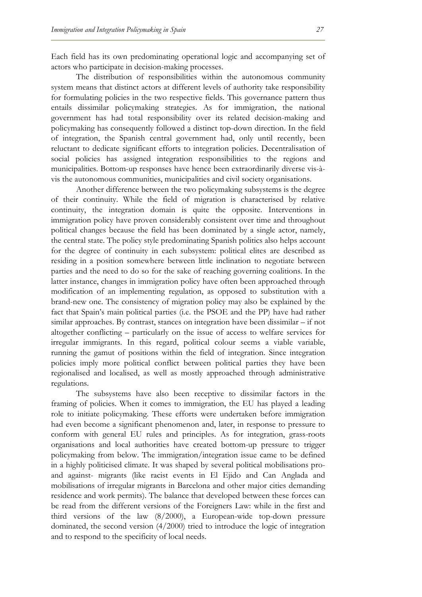Each field has its own predominating operational logic and accompanying set of actors who participate in decision-making processes.

 The distribution of responsibilities within the autonomous community system means that distinct actors at different levels of authority take responsibility for formulating policies in the two respective fields. This governance pattern thus entails dissimilar policymaking strategies. As for immigration, the national government has had total responsibility over its related decision-making and policymaking has consequently followed a distinct top-down direction. In the field of integration, the Spanish central government had, only until recently, been reluctant to dedicate significant efforts to integration policies. Decentralisation of social policies has assigned integration responsibilities to the regions and municipalities. Bottom-up responses have hence been extraordinarily diverse vis-àvis the autonomous communities, municipalities and civil society organisations.

 Another difference between the two policymaking subsystems is the degree of their continuity. While the field of migration is characterised by relative continuity, the integration domain is quite the opposite. Interventions in immigration policy have proven considerably consistent over time and throughout political changes because the field has been dominated by a single actor, namely, the central state. The policy style predominating Spanish politics also helps account for the degree of continuity in each subsystem: political elites are described as residing in a position somewhere between little inclination to negotiate between parties and the need to do so for the sake of reaching governing coalitions. In the latter instance, changes in immigration policy have often been approached through modification of an implementing regulation, as opposed to substitution with a brand-new one. The consistency of migration policy may also be explained by the fact that Spain's main political parties (i.e. the PSOE and the PP) have had rather similar approaches. By contrast, stances on integration have been dissimilar – if not altogether conflicting – particularly on the issue of access to welfare services for irregular immigrants. In this regard, political colour seems a viable variable, running the gamut of positions within the field of integration. Since integration policies imply more political conflict between political parties they have been regionalised and localised, as well as mostly approached through administrative regulations.

 The subsystems have also been receptive to dissimilar factors in the framing of policies. When it comes to immigration, the EU has played a leading role to initiate policymaking. These efforts were undertaken before immigration had even become a significant phenomenon and, later, in response to pressure to conform with general EU rules and principles. As for integration, grass-roots organisations and local authorities have created bottom-up pressure to trigger policymaking from below. The immigration/integration issue came to be defined in a highly politicised climate. It was shaped by several political mobilisations proand against- migrants (like racist events in El Ejido and Can Anglada and mobilisations of irregular migrants in Barcelona and other major cities demanding residence and work permits). The balance that developed between these forces can be read from the different versions of the Foreigners Law: while in the first and third versions of the law (8/2000), a European-wide top-down pressure dominated, the second version (4/2000) tried to introduce the logic of integration and to respond to the specificity of local needs.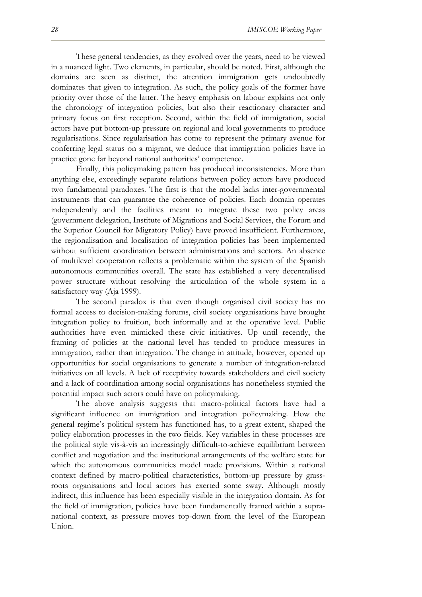These general tendencies, as they evolved over the years, need to be viewed in a nuanced light. Two elements, in particular, should be noted. First, although the domains are seen as distinct, the attention immigration gets undoubtedly dominates that given to integration. As such, the policy goals of the former have priority over those of the latter. The heavy emphasis on labour explains not only the chronology of integration policies, but also their reactionary character and primary focus on first reception. Second, within the field of immigration, social actors have put bottom-up pressure on regional and local governments to produce regularisations. Since regularisation has come to represent the primary avenue for conferring legal status on a migrant, we deduce that immigration policies have in practice gone far beyond national authorities' competence.

 Finally, this policymaking pattern has produced inconsistencies. More than anything else, exceedingly separate relations between policy actors have produced two fundamental paradoxes. The first is that the model lacks inter-governmental instruments that can guarantee the coherence of policies. Each domain operates independently and the facilities meant to integrate these two policy areas (government delegation, Institute of Migrations and Social Services, the Forum and the Superior Council for Migratory Policy) have proved insufficient. Furthermore, the regionalisation and localisation of integration policies has been implemented without sufficient coordination between administrations and sectors. An absence of multilevel cooperation reflects a problematic within the system of the Spanish autonomous communities overall. The state has established a very decentralised power structure without resolving the articulation of the whole system in a satisfactory way (Aja 1999).

 The second paradox is that even though organised civil society has no formal access to decision-making forums, civil society organisations have brought integration policy to fruition, both informally and at the operative level. Public authorities have even mimicked these civic initiatives. Up until recently, the framing of policies at the national level has tended to produce measures in immigration, rather than integration. The change in attitude, however, opened up opportunities for social organisations to generate a number of integration-related initiatives on all levels. A lack of receptivity towards stakeholders and civil society and a lack of coordination among social organisations has nonetheless stymied the potential impact such actors could have on policymaking.

 The above analysis suggests that macro-political factors have had a significant influence on immigration and integration policymaking. How the general regime's political system has functioned has, to a great extent, shaped the policy elaboration processes in the two fields. Key variables in these processes are the political style vis-à-vis an increasingly difficult-to-achieve equilibrium between conflict and negotiation and the institutional arrangements of the welfare state for which the autonomous communities model made provisions. Within a national context defined by macro-political characteristics, bottom-up pressure by grassroots organisations and local actors has exerted some sway. Although mostly indirect, this influence has been especially visible in the integration domain. As for the field of immigration, policies have been fundamentally framed within a supranational context, as pressure moves top-down from the level of the European Union.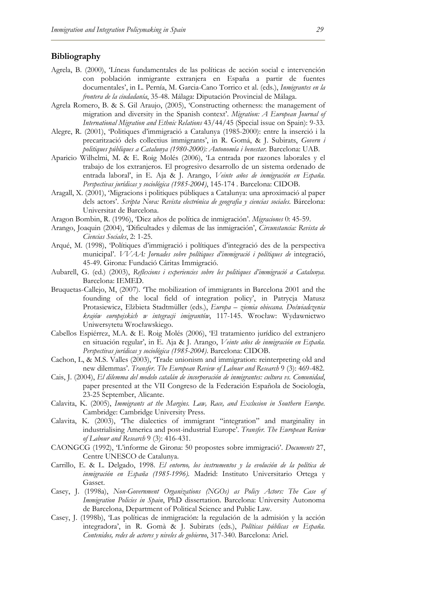#### **Bibliography**

- Agrela, B. (2000), 'Líneas fundamentales de las políticas de acción social e intervención con población inmigrante extranjera en España a partir de fuentes documentales', in L. Pernía, M. Garcia-Cano Torrico et al. (eds.), *Inmigrantes en la frontera de la ciudadanía*, 35-48. Málaga: Diputación Provincial de Málaga.
- Agrela Romero, B. & S. Gil Araujo, (2005), 'Constructing otherness: the management of migration and diversity in the Spanish context'. *Migration: A European Journal of International Migration and Ethnic Relations* 43/44/45 (Special issue on Spain): 9-33.
- Alegre, R. (2001), 'Politiques d'immigració a Catalunya (1985-2000): entre la inserció i la precarització dels collectius immigrants', in R. Gomá, & J. Subirats, *Govern i politiques públiques a Catalunya (1980-2000): Autonomía i benestar.* Barcelona: UAB.
- Aparicio Wilhelmi, M. & E. Roig Molés (2006), 'La entrada por razones laborales y el trabajo de los extranjeros. El progresivo desarrollo de un sistema ordenado de entrada laboral', in E. Aja & J. Arango, *Veinte años de inmigración en España. Perspectivas jurídicas y sociológica (1985-2004)*, 145-174 *.* Barcelona: CIDOB.
- Aragall, X. (2001), 'Migracions i politiques públiques a Catalunya: una aproximació al paper dels actors'. *Scripta Nova: Revista electrónica de geografia y ciencias sociales.* Bárcelona: Universitat de Barcelona.
- Aragon Bombin, R. (1996), 'Diez años de política de inmigración'. *Migraciones* 0: 45-59.
- Arango, Joaquin (2004), 'Dificultades y dilemas de las inmigración', *Circunstancia: Revista de Ciencias Sociales*, 2: 1-25.
- Arqué, M. (1998), 'Polítiques d'immigració i polítiques d'integració des de la perspectiva municipal'. *VVAA: Jornades sobre polítiques d'immigració i polítiques de* integració, 45-49*.* Girona: Fundació Cáritas Immigració.
- Aubarell, G. (ed.) (2003), *Reflexions i experiencies sobre les politiques d'immigració a Catalunya.*  Barcelona: IEMED.
- Bruquetas-Callejo, M, (2007). 'The mobilization of immigrants in Barcelona 2001 and the founding of the local field of integration policy', in Patrycja Matusz Protasiewicz, Elżbieta Stadtmüller (eds.), *Europa – ziemia obiecana. Doświadczenia krajów europejskich w integracji imigrantów*, 117-145. Wrocław: Wydawnictwo Uniwersytetu Wrocławskiego.
- Cabellos Espiérrez, M.A. & E. Roig Molés (2006), 'El tratamiento jurídico del extranjero en situación regular', in E. Aja & J. Arango, *Veinte años de inmigración en España. Perspectivas jurídicas y sociológica (1985-2004)*. Barcelona: CIDOB.
- Cachon, L, & M.S. Valles (2003), 'Trade unionism and immigration: reinterpreting old and new dilemmas'. *Transfer. The European Review of Labour and Research* 9 (3): 469-482.
- Cais, J. (2004), *El dilemma del modelo catalán de incorporación de inmigrantes: cultura vs. Comunidad*, paper presented at the VII Congreso de la Federación Española de Sociología, 23-25 September, Alicante.
- Calavita, K. (2005), *Immigrants at the Margins. Law, Race, and Exclusion in Southern Europe.* Cambridge: Cambridge University Press.
- Calavita, K. (2003), 'The dialectics of immigrant "integration" and marginality in industrialising America and post-industrial Europe'. *Transfer. The European Review of Labour and Research* 9 (3): 416-431.
- CAONGCG (1992), 'L'informe de Girona: 50 propostes sobre immigració'. *Documents* 27, Centre UNESCO de Catalunya.
- Carrillo, E. & L. Delgado, 1998. *El entorno, los instrumentos y la evolución de la política de inmigración en España (1985-1996).* Madrid: Instituto Universitario Ortega y Gasset.
- Casey, J. (1998a), *Non-Government Organizations (NGOs) as Policy Actors: The Case of Immigration Policies in Spain*, PhD dissertation. Barcelona: University Autonoma de Barcelona, Department of Political Science and Public Law.
- Casey, J. (1998b), 'Las políticas de inmigración: la regulación de la admisión y la acción integradora', in R. Gomà & J. Subirats (eds.), *Políticas públicas en España. Contenidos, redes de actores y niveles de gobierno*, 317-340. Barcelona: Ariel.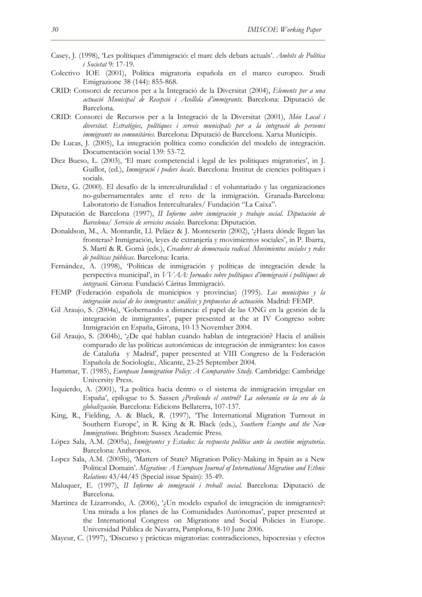- Casey, J. (1998), 'Les polítiques d'immigració: el marc dels debats actuals'. *Ambits de Política i Societat* 9: 17-19.
- Colectivo IOE (2001), Política migratoria española en el marco europeo. Studi Emigrazione 38 (144): 855-868.
- CRID: Consorci de recursos per a la Integració de la Diversitat (2004), *Elements per a una actuació Municipal de Recepció i Acollida d'immigrants.* Barcelona: Diputació de Barcelona.
- CRID: Consorci de Recursos per a la Integració de la Diversitat (2001), *Món Local i*  diversitat. Estratègies, polítiques i serveis municipals per a la integració de persones *immigrants no comunitàries.* Barcelona: Diputació de Barcelona. Xarxa Municipis.
- De Lucas, J. (2005), La integración política como condición del modelo de integración. Documentación social 139: 53-72.
- Diez Bueso, L. (2003), 'El marc competencial i legal de les politiques migratories', in J. Guillot, (ed.), *Immigració i poders locals.* Barcelona: Institut de ciencies polítiques i socials.
- Dietz, G. (2000). El desafío de la interculturalidad : el voluntariado y las organizaciones no-gubernamentales ante el reto de la inmigración. Granada-Barcelona: Laboratorio de Estudios Interculturales/ Fundación "La Caixa".
- Diputación de Barcelona (1997), *II Informe sobre inmigración y trabajo social. Diputación de Barcelona/ Servicio de servicios sociales*. Barcelona: Diputación.
- Donaldson, M., A. Montardit, Ll. Pelàez & J. Monteserín (2002), '¿Hasta dónde llegan las fronteras? Inmigración, leyes de extranjería y movimientos sociales', in P. Ibarra, S. Martí & R. Gomà (eds.), *Creadores de democracia radical. Movimientos sociales y redes de políticas públicas.* Barcelona: Icaria.
- Fernández, A. (1998), 'Políticas de inmigración y políticas de integración desde la perspectiva municipal', in *VVAA: Jornades sobre polítiques d'immigració i polítiques de integració.* Girona: Fundació Cáritas Immigració.
- FEMP (Federación española de municipios y provincias) (1995). *Los municipios y la integración social de los inmigrantes: análisis y propuestas de actuación.* Madrid: FEMP.
- Gil Araujo, S. (2004a), 'Gobernando a distancia: el papel de las ONG en la gestión de la integración de inmigrantes', paper presented at the at IV Congreso sobre Inmigración en España, Girona, 10-13 November 2004.
- Gil Araujo, S. (2004b), '¿De qué hablan cuando hablan de integración? Hacia el análisis comparado de las políticas autonómicas de integración de inmigrantes: los casos de Cataluña y Madrid', paper presented at VIII Congreso de la Federación Española de Sociología:*,* Alicante, 23-25 September 2004.
- Hammar, T. (1985), *European Immigration Policy: A Comparative Study.* Cambridge: Cambridge University Press.
- Izquierdo, A. (2001), 'La política hacia dentro o el sistema de inmigración irregular en España', epilogue to S. Sassen *¿Perdiendo el control? La soberanía en la era de la globalización.* Barcelona: Edicions Bellaterra, 107-137.
- King, R., Fielding, A. & Black, R. (1997), 'The International Migration Turnout in Southern Europe', in R. King & R. Black (eds.), *Southern Europe and the New Immigrations*. Brighton: Sussex Academic Press.
- López Sala, A.M. (2005a), *Inmigrantes y Estados: la respuesta política ante la cuestión migratoria*. Barcelona: Anthropos.
- Lopez Sala, A.M. (2005b), 'Matters of State? Migration Policy-Making in Spain as a New Political Domain'. *Migration: A European Journal of International Migration and Ethnic Relations* 43/44/45 (Special issue Spain): 35-49.
- Maluquer, E. (1997), *II Informe de inmigració i treball social.* Barcelona: Diputació de Barcelona.
- Martinez de Lizarrondo, A. (2006), '¿Un modelo español de integración de inmigrantes?: Una mirada a los planes de las Comunidades Autónomas', paper presented at the International Congress on Migrations and Social Policies in Europe. Universidad Pública de Navarra, Pamplona, 8-10 June 2006.
- Mayeur, C. (1997), 'Discurso y prácticas migratorias: contradicciones, hipocresias y efectos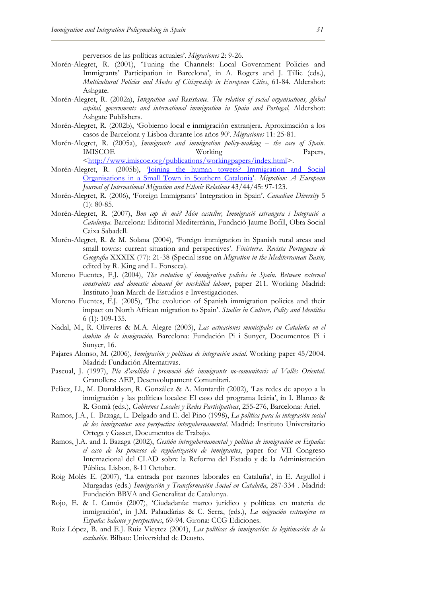perversos de las políticas actuales'. *Migraciones* 2: 9-26.

- Morén-Alegret, R. (2001), 'Tuning the Channels: Local Government Policies and Immigrants' Participation in Barcelona', in A. Rogers and J. Tillie (eds.), *Multicultural Policies and Modes of Citizenship in European Cities*, 61-84. Aldershot: Ashgate.
- Morén-Alegret, R. (2002a), *Integration and Resistance. The relation of social organisations, global capital, governments and international immigration in Spain and Portugal,* Aldershot: Ashgate Publishers.
- Morén-Alegret, R. (2002b), 'Gobierno local e inmigración extranjera. Aproximación a los casos de Barcelona y Lisboa durante los años 90'. *Migraciones* 11: 25-81.
- Morén-Alegret, R. (2005a), *Immigrants and immigration policy-making the case of Spain.* IMISCOE Working Papers, [<http://www.imiscoe.org/publications/workingpapers/index.html](http://www.imiscoe.org/publications/workingpapers/index.html)>.
- Morén-Alegret, R. (2005b), ['Joining the human towers? Immigration and Social](http://www.emz-berlin.de/parabolis/migratio/mig43e.htm#f)  [Organisations in a Small Town in Southern Catalonia](http://www.emz-berlin.de/parabolis/migratio/mig43e.htm#f)'. *Migration: A European Journal of International Migration and Ethnic Relations* 43/44/45: 97-123.
- Morén-Alegret, R. (2006), 'Foreign Immigrants' Integration in Spain'. *Canadian Diversity* 5 (1): 80-85.
- Morén-Alegret, R. (2007), *Bon cop de mà? Món casteller, Immigració estrangera i Integració a Catalunya*. Barcelona: Editorial Mediterrània, Fundació Jaume Bofill, Obra Social Caixa Sabadell.
- Morén-Alegret, R. & M. Solana (2004), 'Foreign immigration in Spanish rural areas and small towns: current situation and perspectives'. *Finisterra. Revista Portuguesa de Geografia* XXXIX (77): 21-38 (Special issue on *Migration in the Mediterranean Basin,*  edited by R. King and L. Fonseca).
- Moreno Fuentes, F.J. (2004), *The evolution of immigration policies in Spain. Between external constraints and domestic demand for unskilled labour*, paper 211*.* Working Madrid: Instituto Juan March de Estudios e Investigaciones.
- Moreno Fuentes, F.J. (2005), 'The evolution of Spanish immigration policies and their impact on North African migration to Spain'. *Studies in Culture, Polity and Identities* 6 (1): 109-135.
- Nadal, M., R. Oliveres & M.A. Alegre (2003), *Las actuaciones municipales en Cataluña en el ámbito de la inmigración.* Barcelona: Fundación Pi i Sunyer, Documentos Pi i Sunyer, 16.
- Pajares Alonso, M. (2006), *Inmigración y políticas de integración social.* Working paper 45/2004. Madrid: Fundación Alternativas.
- Pascual, J. (1997), *Pla d'acollida i promoció dels immigrants no-comunitaris al Vallès Oriental.* Granollers: AEP, Desenvolupament Comunitari.
- Pelàez, Ll., M. Donaldson, R. González & A. Montardit (2002), 'Las redes de apoyo a la inmigración y las políticas locales: El caso del programa Icària', in I. Blanco & R. Gomà (eds.), *Gobiernos Locales y Redes Participativas*, 255-276, Barcelona: Ariel.
- Ramos, J.A., I. Bazaga, L. Delgado and E. del Pino (1998), *La política para la integración social de los inmigrantes: una perspectiva intergubernamental*. Madrid: Instituto Universitario Ortega y Gasset, Documentos de Trabajo.
- Ramos, J.A. and I. Bazaga (2002), *Gestión intergubernamental y política de inmigración en España: el caso de los procesos de regularización de inmigrantes*, paper for VII Congreso Internacional del CLAD sobre la Reforma del Estado y de la Administración Pública. Lisbon, 8-11 October.
- Roig Molés E. (2007), 'La entrada por razones laborales en Cataluña', in E. Argullol i Murgadas (eds.) *Inmigración y Transformación Social en Cataluña*, 287-334 . Madrid: Fundación BBVA and Generalitat de Catalunya.
- Rojo, E. & I. Camós (2007), 'Ciudadanía: marco jurídico y políticas en materia de inmigración', in J.M. Palaudàrias & C. Serra, (eds.), *La migración extranjera en España: balance y perspectivas*, 69-94. Girona: CCG Ediciones.
- Ruiz López, B. and E.J. Ruiz Vieytez (2001), *Las políticas de inmigración: la legitimación de la exclusión*. Bilbao: Universidad de Deusto.